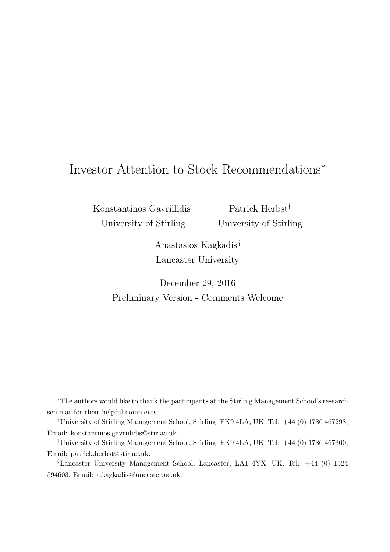# Investor Attention to Stock Recommendations<sup>∗</sup>

Konstantinos Gavriilidis† University of Stirling

Patrick Herbst<sup>‡</sup> University of Stirling

Anastasios Kagkadis§ Lancaster University

December 29, 2016 Preliminary Version - Comments Welcome

<sup>∗</sup>The authors would like to thank the participants at the Stirling Management School's research seminar for their helpful comments.

†University of Stirling Management School, Stirling, FK9 4LA, UK. Tel: +44 (0) 1786 467298, Email: konstantinos.gavriilidis@stir.ac.uk.

‡University of Stirling Management School, Stirling, FK9 4LA, UK. Tel: +44 (0) 1786 467300, Email: patrick.herbst@stir.ac.uk.

§Lancaster University Management School, Lancaster, LA1 4YX, UK. Tel: +44 (0) 1524 594603, Email: a.kagkadis@lancaster.ac.uk.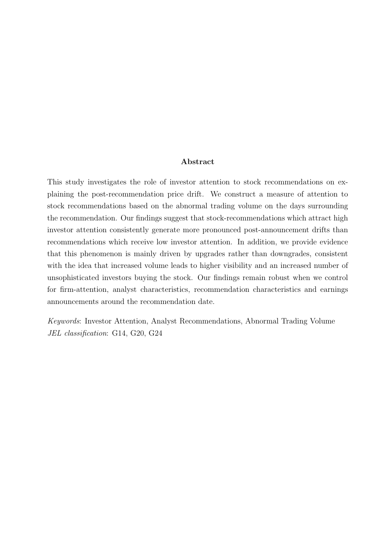### Abstract

This study investigates the role of investor attention to stock recommendations on explaining the post-recommendation price drift. We construct a measure of attention to stock recommendations based on the abnormal trading volume on the days surrounding the recommendation. Our findings suggest that stock-recommendations which attract high investor attention consistently generate more pronounced post-announcement drifts than recommendations which receive low investor attention. In addition, we provide evidence that this phenomenon is mainly driven by upgrades rather than downgrades, consistent with the idea that increased volume leads to higher visibility and an increased number of unsophisticated investors buying the stock. Our findings remain robust when we control for firm-attention, analyst characteristics, recommendation characteristics and earnings announcements around the recommendation date.

Keywords: Investor Attention, Analyst Recommendations, Abnormal Trading Volume JEL classification: G14, G20, G24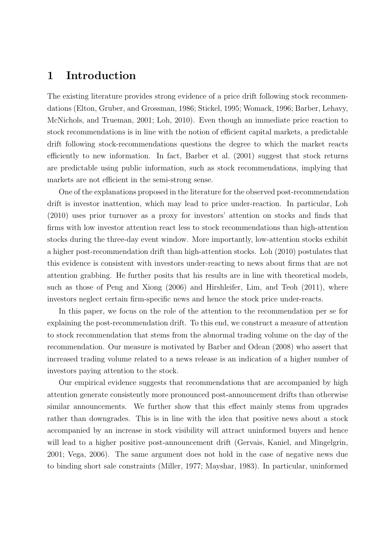## 1 Introduction

The existing literature provides strong evidence of a price drift following stock recommendations (Elton, Gruber, and Grossman, 1986; Stickel, 1995; Womack, 1996; Barber, Lehavy, McNichols, and Trueman, 2001; Loh, 2010). Even though an immediate price reaction to stock recommendations is in line with the notion of efficient capital markets, a predictable drift following stock-recommendations questions the degree to which the market reacts efficiently to new information. In fact, Barber et al. (2001) suggest that stock returns are predictable using public information, such as stock recommendations, implying that markets are not efficient in the semi-strong sense.

One of the explanations proposed in the literature for the observed post-recommendation drift is investor inattention, which may lead to price under-reaction. In particular, Loh (2010) uses prior turnover as a proxy for investors' attention on stocks and finds that firms with low investor attention react less to stock recommendations than high-attention stocks during the three-day event window. More importantly, low-attention stocks exhibit a higher post-recommendation drift than high-attention stocks. Loh (2010) postulates that this evidence is consistent with investors under-reacting to news about firms that are not attention grabbing. He further posits that his results are in line with theoretical models, such as those of Peng and Xiong (2006) and Hirshleifer, Lim, and Teoh (2011), where investors neglect certain firm-specific news and hence the stock price under-reacts.

In this paper, we focus on the role of the attention to the recommendation per se for explaining the post-recommendation drift. To this end, we construct a measure of attention to stock recommendation that stems from the abnormal trading volume on the day of the recommendation. Our measure is motivated by Barber and Odean (2008) who assert that increased trading volume related to a news release is an indication of a higher number of investors paying attention to the stock.

Our empirical evidence suggests that recommendations that are accompanied by high attention generate consistently more pronounced post-announcement drifts than otherwise similar announcements. We further show that this effect mainly stems from upgrades rather than downgrades. This is in line with the idea that positive news about a stock accompanied by an increase in stock visibility will attract uninformed buyers and hence will lead to a higher positive post-announcement drift (Gervais, Kaniel, and Mingelgrin, 2001; Vega, 2006). The same argument does not hold in the case of negative news due to binding short sale constraints (Miller, 1977; Mayshar, 1983). In particular, uninformed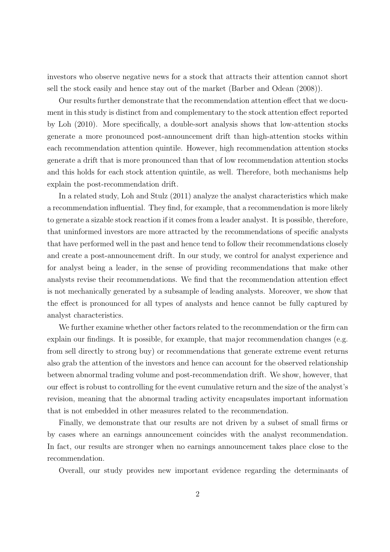investors who observe negative news for a stock that attracts their attention cannot short sell the stock easily and hence stay out of the market (Barber and Odean (2008)).

Our results further demonstrate that the recommendation attention effect that we document in this study is distinct from and complementary to the stock attention effect reported by Loh (2010). More specifically, a double-sort analysis shows that low-attention stocks generate a more pronounced post-announcement drift than high-attention stocks within each recommendation attention quintile. However, high recommendation attention stocks generate a drift that is more pronounced than that of low recommendation attention stocks and this holds for each stock attention quintile, as well. Therefore, both mechanisms help explain the post-recommendation drift.

In a related study, Loh and Stulz (2011) analyze the analyst characteristics which make a recommendation influential. They find, for example, that a recommendation is more likely to generate a sizable stock reaction if it comes from a leader analyst. It is possible, therefore, that uninformed investors are more attracted by the recommendations of specific analysts that have performed well in the past and hence tend to follow their recommendations closely and create a post-announcement drift. In our study, we control for analyst experience and for analyst being a leader, in the sense of providing recommendations that make other analysts revise their recommendations. We find that the recommendation attention effect is not mechanically generated by a subsample of leading analysts. Moreover, we show that the effect is pronounced for all types of analysts and hence cannot be fully captured by analyst characteristics.

We further examine whether other factors related to the recommendation or the firm can explain our findings. It is possible, for example, that major recommendation changes (e.g. from sell directly to strong buy) or recommendations that generate extreme event returns also grab the attention of the investors and hence can account for the observed relationship between abnormal trading volume and post-recommendation drift. We show, however, that our effect is robust to controlling for the event cumulative return and the size of the analyst's revision, meaning that the abnormal trading activity encapsulates important information that is not embedded in other measures related to the recommendation.

Finally, we demonstrate that our results are not driven by a subset of small firms or by cases where an earnings announcement coincides with the analyst recommendation. In fact, our results are stronger when no earnings announcement takes place close to the recommendation.

Overall, our study provides new important evidence regarding the determinants of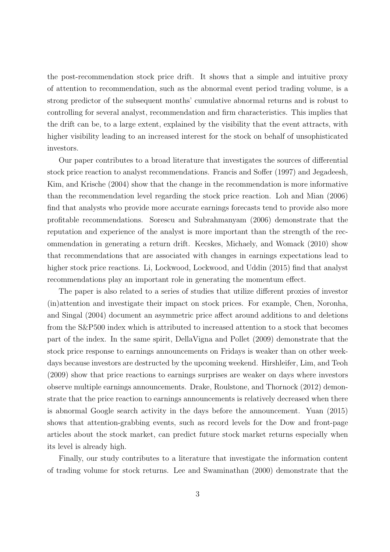the post-recommendation stock price drift. It shows that a simple and intuitive proxy of attention to recommendation, such as the abnormal event period trading volume, is a strong predictor of the subsequent months' cumulative abnormal returns and is robust to controlling for several analyst, recommendation and firm characteristics. This implies that the drift can be, to a large extent, explained by the visibility that the event attracts, with higher visibility leading to an increased interest for the stock on behalf of unsophisticated investors.

Our paper contributes to a broad literature that investigates the sources of differential stock price reaction to analyst recommendations. Francis and Soffer (1997) and Jegadeesh, Kim, and Krische (2004) show that the change in the recommendation is more informative than the recommendation level regarding the stock price reaction. Loh and Mian (2006) find that analysts who provide more accurate earnings forecasts tend to provide also more profitable recommendations. Sorescu and Subrahmanyam (2006) demonstrate that the reputation and experience of the analyst is more important than the strength of the recommendation in generating a return drift. Kecskes, Michaely, and Womack (2010) show that recommendations that are associated with changes in earnings expectations lead to higher stock price reactions. Li, Lockwood, Lockwood, and Uddin (2015) find that analyst recommendations play an important role in generating the momentum effect.

The paper is also related to a series of studies that utilize different proxies of investor (in)attention and investigate their impact on stock prices. For example, Chen, Noronha, and Singal (2004) document an asymmetric price affect around additions to and deletions from the S&P500 index which is attributed to increased attention to a stock that becomes part of the index. In the same spirit, DellaVigna and Pollet (2009) demonstrate that the stock price response to earnings announcements on Fridays is weaker than on other weekdays because investors are destructed by the upcoming weekend. Hirshleifer, Lim, and Teoh (2009) show that price reactions to earnings surprises are weaker on days where investors observe multiple earnings announcements. Drake, Roulstone, and Thornock (2012) demonstrate that the price reaction to earnings announcements is relatively decreased when there is abnormal Google search activity in the days before the announcement. Yuan (2015) shows that attention-grabbing events, such as record levels for the Dow and front-page articles about the stock market, can predict future stock market returns especially when its level is already high.

Finally, our study contributes to a literature that investigate the information content of trading volume for stock returns. Lee and Swaminathan (2000) demonstrate that the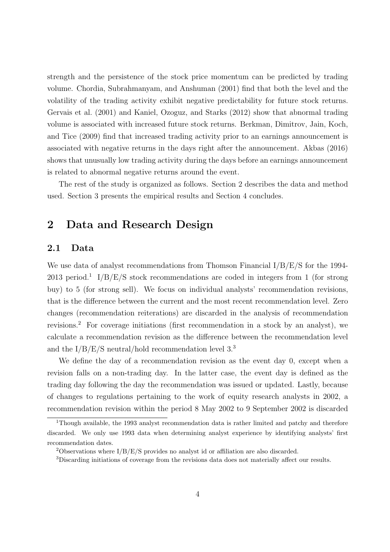strength and the persistence of the stock price momentum can be predicted by trading volume. Chordia, Subrahmanyam, and Anshuman (2001) find that both the level and the volatility of the trading activity exhibit negative predictability for future stock returns. Gervais et al. (2001) and Kaniel, Ozoguz, and Starks (2012) show that abnormal trading volume is associated with increased future stock returns. Berkman, Dimitrov, Jain, Koch, and Tice (2009) find that increased trading activity prior to an earnings announcement is associated with negative returns in the days right after the announcement. Akbas (2016) shows that unusually low trading activity during the days before an earnings announcement is related to abnormal negative returns around the event.

The rest of the study is organized as follows. Section 2 describes the data and method used. Section 3 presents the empirical results and Section 4 concludes.

## 2 Data and Research Design

### 2.1 Data

We use data of analyst recommendations from Thomson Financial I/B/E/S for the 1994-2013 period.<sup>1</sup> I/B/E/S stock recommendations are coded in integers from 1 (for strong buy) to 5 (for strong sell). We focus on individual analysts' recommendation revisions, that is the difference between the current and the most recent recommendation level. Zero changes (recommendation reiterations) are discarded in the analysis of recommendation revisions.<sup>2</sup> For coverage initiations (first recommendation in a stock by an analyst), we calculate a recommendation revision as the difference between the recommendation level and the  $I/B/E/S$  neutral/hold recommendation level 3.<sup>3</sup>

We define the day of a recommendation revision as the event day 0, except when a revision falls on a non-trading day. In the latter case, the event day is defined as the trading day following the day the recommendation was issued or updated. Lastly, because of changes to regulations pertaining to the work of equity research analysts in 2002, a recommendation revision within the period 8 May 2002 to 9 September 2002 is discarded

<sup>&</sup>lt;sup>1</sup>Though available, the 1993 analyst recommendation data is rather limited and patchy and therefore discarded. We only use 1993 data when determining analyst experience by identifying analysts' first recommendation dates.

<sup>&</sup>lt;sup>2</sup>Observations where  $I/B/E/S$  provides no analyst id or affiliation are also discarded.

<sup>3</sup>Discarding initiations of coverage from the revisions data does not materially affect our results.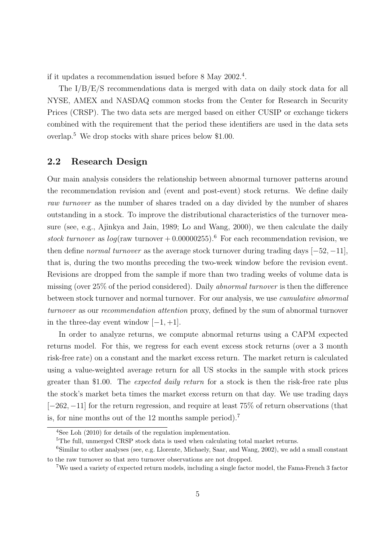if it updates a recommendation issued before 8 May 2002.<sup>4</sup> .

The I/B/E/S recommendations data is merged with data on daily stock data for all NYSE, AMEX and NASDAQ common stocks from the Center for Research in Security Prices (CRSP). The two data sets are merged based on either CUSIP or exchange tickers combined with the requirement that the period these identifiers are used in the data sets overlap.<sup>5</sup> We drop stocks with share prices below \$1.00.

### 2.2 Research Design

Our main analysis considers the relationship between abnormal turnover patterns around the recommendation revision and (event and post-event) stock returns. We define daily raw turnover as the number of shares traded on a day divided by the number of shares outstanding in a stock. To improve the distributional characteristics of the turnover measure (see, e.g., Ajinkya and Jain, 1989; Lo and Wang, 2000), we then calculate the daily stock turnover as  $log(\text{raw turnover} + 0.00000255)^{6}$  For each recommendation revision, we then define *normal turnover* as the average stock turnover during trading days  $[-52, -11]$ , that is, during the two months preceding the two-week window before the revision event. Revisions are dropped from the sample if more than two trading weeks of volume data is missing (over 25% of the period considered). Daily abnormal turnover is then the difference between stock turnover and normal turnover. For our analysis, we use *cumulative abnormal* turnover as our recommendation attention proxy, defined by the sum of abnormal turnover in the three-day event window  $[-1, +1]$ .

In order to analyze returns, we compute abnormal returns using a CAPM expected returns model. For this, we regress for each event excess stock returns (over a 3 month risk-free rate) on a constant and the market excess return. The market return is calculated using a value-weighted average return for all US stocks in the sample with stock prices greater than \$1.00. The expected daily return for a stock is then the risk-free rate plus the stock's market beta times the market excess return on that day. We use trading days [−262, −11] for the return regression, and require at least 75% of return observations (that is, for nine months out of the 12 months sample period).<sup>7</sup>

<sup>4</sup>See Loh (2010) for details of the regulation implementation.

 ${}^{5}\mathrm{The}$  full, unmerged CRSP stock data is used when calculating total market returns.

<sup>6</sup>Similar to other analyses (see, e.g. Llorente, Michaely, Saar, and Wang, 2002), we add a small constant to the raw turnover so that zero turnover observations are not dropped.

<sup>7</sup>We used a variety of expected return models, including a single factor model, the Fama-French 3 factor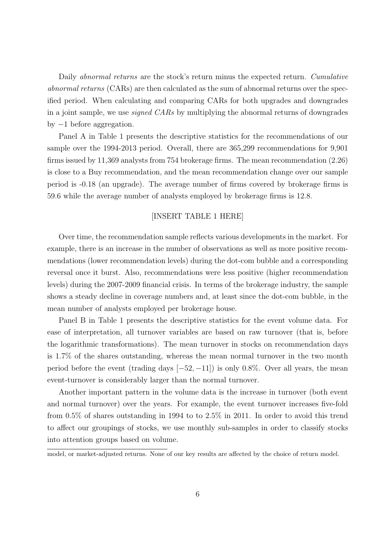Daily *abnormal returns* are the stock's return minus the expected return. Cumulative abnormal returns (CARs) are then calculated as the sum of abnormal returns over the specified period. When calculating and comparing CARs for both upgrades and downgrades in a joint sample, we use *signed CARs* by multiplying the abnormal returns of downgrades by −1 before aggregation.

Panel A in Table 1 presents the descriptive statistics for the recommendations of our sample over the 1994-2013 period. Overall, there are 365,299 recommendations for 9,901 firms issued by 11,369 analysts from 754 brokerage firms. The mean recommendation (2.26) is close to a Buy recommendation, and the mean recommendation change over our sample period is -0.18 (an upgrade). The average number of firms covered by brokerage firms is 59.6 while the average number of analysts employed by brokerage firms is 12.8.

### [INSERT TABLE 1 HERE]

Over time, the recommendation sample reflects various developments in the market. For example, there is an increase in the number of observations as well as more positive recommendations (lower recommendation levels) during the dot-com bubble and a corresponding reversal once it burst. Also, recommendations were less positive (higher recommendation levels) during the 2007-2009 financial crisis. In terms of the brokerage industry, the sample shows a steady decline in coverage numbers and, at least since the dot-com bubble, in the mean number of analysts employed per brokerage house.

Panel B in Table 1 presents the descriptive statistics for the event volume data. For ease of interpretation, all turnover variables are based on raw turnover (that is, before the logarithmic transformations). The mean turnover in stocks on recommendation days is 1.7% of the shares outstanding, whereas the mean normal turnover in the two month period before the event (trading days  $[-52, -11]$ ) is only 0.8%. Over all years, the mean event-turnover is considerably larger than the normal turnover.

Another important pattern in the volume data is the increase in turnover (both event and normal turnover) over the years. For example, the event turnover increases five-fold from 0.5% of shares outstanding in 1994 to to 2.5% in 2011. In order to avoid this trend to affect our groupings of stocks, we use monthly sub-samples in order to classify stocks into attention groups based on volume.

model, or market-adjusted returns. None of our key results are affected by the choice of return model.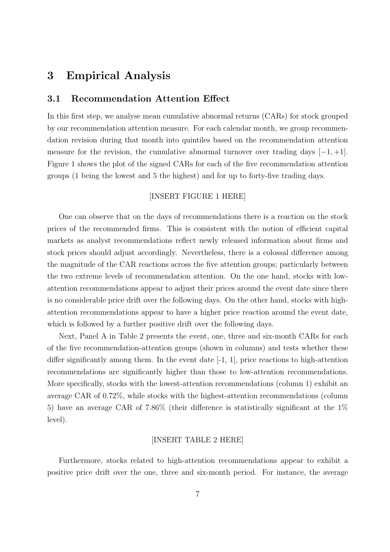## 3 Empirical Analysis

### 3.1 Recommendation Attention Effect

In this first step, we analyse mean cumulative abnormal returns (CARs) for stock grouped by our recommendation attention measure. For each calendar month, we group recommendation revision during that month into quintiles based on the recommendation attention measure for the revision, the cumulative abnormal turnover over trading days  $[-1, +1]$ . Figure 1 shows the plot of the signed CARs for each of the five recommendation attention groups (1 being the lowest and 5 the highest) and for up to forty-five trading days.

### [INSERT FIGURE 1 HERE]

One can observe that on the days of recommendations there is a reaction on the stock prices of the recommended firms. This is consistent with the notion of efficient capital markets as analyst recommendations reflect newly released information about firms and stock prices should adjust accordingly. Nevertheless, there is a colossal difference among the magnitude of the CAR reactions across the five attention groups; particularly between the two extreme levels of recommendation attention. On the one hand, stocks with lowattention recommendations appear to adjust their prices around the event date since there is no considerable price drift over the following days. On the other hand, stocks with highattention recommendations appear to have a higher price reaction around the event date, which is followed by a further positive drift over the following days.

Next, Panel A in Table 2 presents the event, one, three and six-month CARs for each of the five recommendation-attention groups (shown in columns) and tests whether these differ significantly among them. In the event date  $[-1, 1]$ , price reactions to high-attention recommendations are significantly higher than those to low-attention recommendations. More specifically, stocks with the lowest-attention recommendations (column 1) exhibit an average CAR of 0.72%, while stocks with the highest-attention recommendations (column 5) have an average CAR of 7.86% (their difference is statistically significant at the 1% level).

#### [INSERT TABLE 2 HERE]

Furthermore, stocks related to high-attention recommendations appear to exhibit a positive price drift over the one, three and six-month period. For instance, the average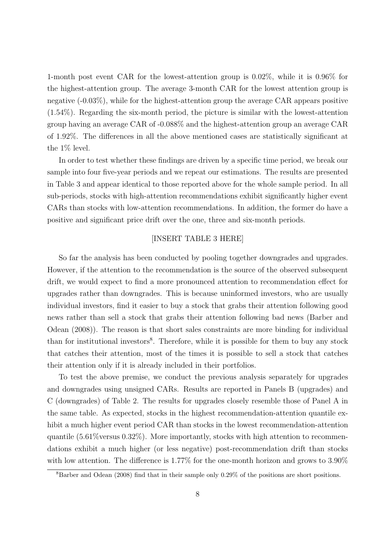1-month post event CAR for the lowest-attention group is 0.02%, while it is 0.96% for the highest-attention group. The average 3-month CAR for the lowest attention group is negative (-0.03%), while for the highest-attention group the average CAR appears positive (1.54%). Regarding the six-month period, the picture is similar with the lowest-attention group having an average CAR of -0.088% and the highest-attention group an average CAR of 1.92%. The differences in all the above mentioned cases are statistically significant at the 1% level.

In order to test whether these findings are driven by a specific time period, we break our sample into four five-year periods and we repeat our estimations. The results are presented in Table 3 and appear identical to those reported above for the whole sample period. In all sub-periods, stocks with high-attention recommendations exhibit significantly higher event CARs than stocks with low-attention recommendations. In addition, the former do have a positive and significant price drift over the one, three and six-month periods.

#### [INSERT TABLE 3 HERE]

So far the analysis has been conducted by pooling together downgrades and upgrades. However, if the attention to the recommendation is the source of the observed subsequent drift, we would expect to find a more pronounced attention to recommendation effect for upgrades rather than downgrades. This is because uninformed investors, who are usually individual investors, find it easier to buy a stock that grabs their attention following good news rather than sell a stock that grabs their attention following bad news (Barber and Odean (2008)). The reason is that short sales constraints are more binding for individual than for institutional investors<sup>8</sup>. Therefore, while it is possible for them to buy any stock that catches their attention, most of the times it is possible to sell a stock that catches their attention only if it is already included in their portfolios.

To test the above premise, we conduct the previous analysis separately for upgrades and downgrades using unsigned CARs. Results are reported in Panels B (upgrades) and C (downgrades) of Table 2. The results for upgrades closely resemble those of Panel A in the same table. As expected, stocks in the highest recommendation-attention quantile exhibit a much higher event period CAR than stocks in the lowest recommendation-attention quantile  $(5.61\%$  versus  $0.32\%)$ . More importantly, stocks with high attention to recommendations exhibit a much higher (or less negative) post-recommendation drift than stocks with low attention. The difference is 1.77% for the one-month horizon and grows to 3.90%

 $8B$ arber and Odean (2008) find that in their sample only 0.29% of the positions are short positions.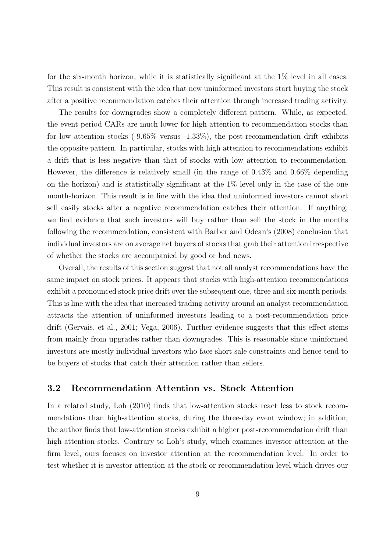for the six-month horizon, while it is statistically significant at the 1% level in all cases. This result is consistent with the idea that new uninformed investors start buying the stock after a positive recommendation catches their attention through increased trading activity.

The results for downgrades show a completely different pattern. While, as expected, the event period CARs are much lower for high attention to recommendation stocks than for low attention stocks (-9.65% versus -1.33%), the post-recommendation drift exhibits the opposite pattern. In particular, stocks with high attention to recommendations exhibit a drift that is less negative than that of stocks with low attention to recommendation. However, the difference is relatively small (in the range of 0.43% and 0.66% depending on the horizon) and is statistically significant at the 1% level only in the case of the one month-horizon. This result is in line with the idea that uninformed investors cannot short sell easily stocks after a negative recommendation catches their attention. If anything, we find evidence that such investors will buy rather than sell the stock in the months following the recommendation, consistent with Barber and Odean's (2008) conclusion that individual investors are on average net buyers of stocks that grab their attention irrespective of whether the stocks are accompanied by good or bad news.

Overall, the results of this section suggest that not all analyst recommendations have the same impact on stock prices. It appears that stocks with high-attention recommendations exhibit a pronounced stock price drift over the subsequent one, three and six-month periods. This is line with the idea that increased trading activity around an analyst recommendation attracts the attention of uninformed investors leading to a post-recommendation price drift (Gervais, et al., 2001; Vega, 2006). Further evidence suggests that this effect stems from mainly from upgrades rather than downgrades. This is reasonable since uninformed investors are mostly individual investors who face short sale constraints and hence tend to be buyers of stocks that catch their attention rather than sellers.

### 3.2 Recommendation Attention vs. Stock Attention

In a related study, Loh (2010) finds that low-attention stocks react less to stock recommendations than high-attention stocks, during the three-day event window; in addition, the author finds that low-attention stocks exhibit a higher post-recommendation drift than high-attention stocks. Contrary to Loh's study, which examines investor attention at the firm level, ours focuses on investor attention at the recommendation level. In order to test whether it is investor attention at the stock or recommendation-level which drives our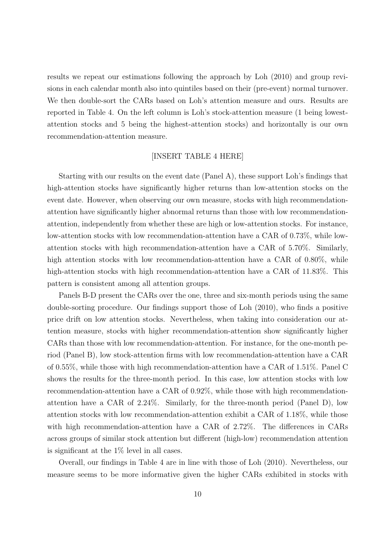results we repeat our estimations following the approach by Loh (2010) and group revisions in each calendar month also into quintiles based on their (pre-event) normal turnover. We then double-sort the CARs based on Loh's attention measure and ours. Results are reported in Table 4. On the left column is Loh's stock-attention measure (1 being lowestattention stocks and 5 being the highest-attention stocks) and horizontally is our own recommendation-attention measure.

### [INSERT TABLE 4 HERE]

Starting with our results on the event date (Panel A), these support Loh's findings that high-attention stocks have significantly higher returns than low-attention stocks on the event date. However, when observing our own measure, stocks with high recommendationattention have significantly higher abnormal returns than those with low recommendationattention, independently from whether these are high or low-attention stocks. For instance, low-attention stocks with low recommendation-attention have a CAR of 0.73%, while lowattention stocks with high recommendation-attention have a CAR of 5.70%. Similarly, high attention stocks with low recommendation-attention have a CAR of 0.80%, while high-attention stocks with high recommendation-attention have a CAR of 11.83%. This pattern is consistent among all attention groups.

Panels B-D present the CARs over the one, three and six-month periods using the same double-sorting procedure. Our findings support those of Loh (2010), who finds a positive price drift on low attention stocks. Nevertheless, when taking into consideration our attention measure, stocks with higher recommendation-attention show significantly higher CARs than those with low recommendation-attention. For instance, for the one-month period (Panel B), low stock-attention firms with low recommendation-attention have a CAR of 0.55%, while those with high recommendation-attention have a CAR of 1.51%. Panel C shows the results for the three-month period. In this case, low attention stocks with low recommendation-attention have a CAR of 0.92%, while those with high recommendationattention have a CAR of 2.24%. Similarly, for the three-month period (Panel D), low attention stocks with low recommendation-attention exhibit a CAR of 1.18%, while those with high recommendation-attention have a CAR of 2.72%. The differences in CARs across groups of similar stock attention but different (high-low) recommendation attention is significant at the 1% level in all cases.

Overall, our findings in Table 4 are in line with those of Loh (2010). Nevertheless, our measure seems to be more informative given the higher CARs exhibited in stocks with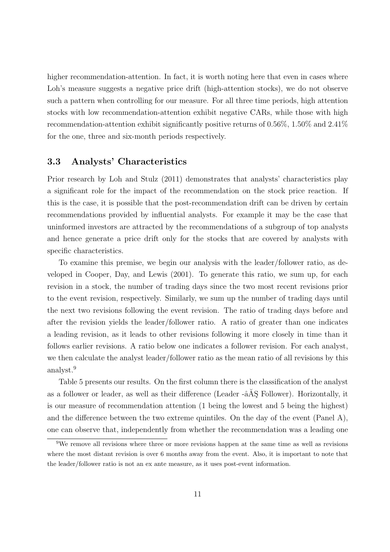higher recommendation-attention. In fact, it is worth noting here that even in cases where Loh's measure suggests a negative price drift (high-attention stocks), we do not observe such a pattern when controlling for our measure. For all three time periods, high attention stocks with low recommendation-attention exhibit negative CARs, while those with high recommendation-attention exhibit significantly positive returns of 0.56%, 1.50% and 2.41% for the one, three and six-month periods respectively.

### 3.3 Analysts' Characteristics

Prior research by Loh and Stulz (2011) demonstrates that analysts' characteristics play a significant role for the impact of the recommendation on the stock price reaction. If this is the case, it is possible that the post-recommendation drift can be driven by certain recommendations provided by influential analysts. For example it may be the case that uninformed investors are attracted by the recommendations of a subgroup of top analysts and hence generate a price drift only for the stocks that are covered by analysts with specific characteristics.

To examine this premise, we begin our analysis with the leader/follower ratio, as developed in Cooper, Day, and Lewis (2001). To generate this ratio, we sum up, for each revision in a stock, the number of trading days since the two most recent revisions prior to the event revision, respectively. Similarly, we sum up the number of trading days until the next two revisions following the event revision. The ratio of trading days before and after the revision yields the leader/follower ratio. A ratio of greater than one indicates a leading revision, as it leads to other revisions following it more closely in time than it follows earlier revisions. A ratio below one indicates a follower revision. For each analyst, we then calculate the analyst leader/follower ratio as the mean ratio of all revisions by this analyst.<sup>9</sup>

Table 5 presents our results. On the first column there is the classification of the analyst as a follower or leader, as well as their difference (Leader  $-\hat{a}$ AŞ Follower). Horizontally, it is our measure of recommendation attention (1 being the lowest and 5 being the highest) and the difference between the two extreme quintiles. On the day of the event (Panel A), one can observe that, independently from whether the recommendation was a leading one

<sup>&</sup>lt;sup>9</sup>We remove all revisions where three or more revisions happen at the same time as well as revisions where the most distant revision is over 6 months away from the event. Also, it is important to note that the leader/follower ratio is not an ex ante measure, as it uses post-event information.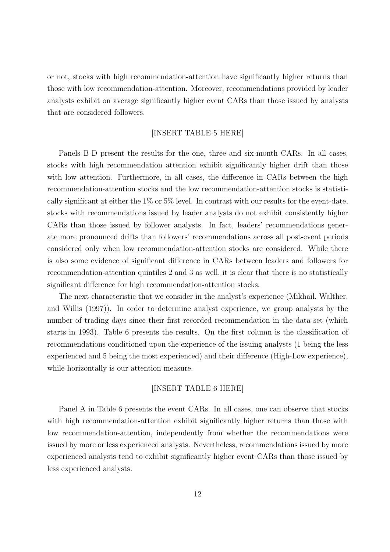or not, stocks with high recommendation-attention have significantly higher returns than those with low recommendation-attention. Moreover, recommendations provided by leader analysts exhibit on average significantly higher event CARs than those issued by analysts that are considered followers.

### [INSERT TABLE 5 HERE]

Panels B-D present the results for the one, three and six-month CARs. In all cases, stocks with high recommendation attention exhibit significantly higher drift than those with low attention. Furthermore, in all cases, the difference in CARs between the high recommendation-attention stocks and the low recommendation-attention stocks is statistically significant at either the 1% or 5% level. In contrast with our results for the event-date, stocks with recommendations issued by leader analysts do not exhibit consistently higher CARs than those issued by follower analysts. In fact, leaders' recommendations generate more pronounced drifts than followers' recommendations across all post-event periods considered only when low recommendation-attention stocks are considered. While there is also some evidence of significant difference in CARs between leaders and followers for recommendation-attention quintiles 2 and 3 as well, it is clear that there is no statistically significant difference for high recommendation-attention stocks.

The next characteristic that we consider in the analyst's experience (Mikhail, Walther, and Willis (1997)). In order to determine analyst experience, we group analysts by the number of trading days since their first recorded recommendation in the data set (which starts in 1993). Table 6 presents the results. On the first column is the classification of recommendations conditioned upon the experience of the issuing analysts (1 being the less experienced and 5 being the most experienced) and their difference (High-Low experience), while horizontally is our attention measure.

#### [INSERT TABLE 6 HERE]

Panel A in Table 6 presents the event CARs. In all cases, one can observe that stocks with high recommendation-attention exhibit significantly higher returns than those with low recommendation-attention, independently from whether the recommendations were issued by more or less experienced analysts. Nevertheless, recommendations issued by more experienced analysts tend to exhibit significantly higher event CARs than those issued by less experienced analysts.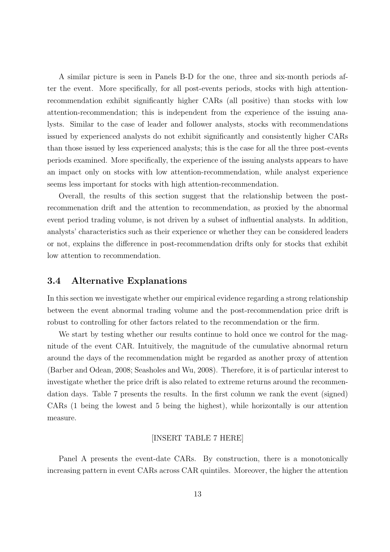A similar picture is seen in Panels B-D for the one, three and six-month periods after the event. More specifically, for all post-events periods, stocks with high attentionrecommendation exhibit significantly higher CARs (all positive) than stocks with low attention-recommendation; this is independent from the experience of the issuing analysts. Similar to the case of leader and follower analysts, stocks with recommendations issued by experienced analysts do not exhibit significantly and consistently higher CARs than those issued by less experienced analysts; this is the case for all the three post-events periods examined. More specifically, the experience of the issuing analysts appears to have an impact only on stocks with low attention-recommendation, while analyst experience seems less important for stocks with high attention-recommendation.

Overall, the results of this section suggest that the relationship between the postrecommenation drift and the attention to recommendation, as proxied by the abnormal event period trading volume, is not driven by a subset of influential analysts. In addition, analysts' characteristics such as their experience or whether they can be considered leaders or not, explains the difference in post-recommendation drifts only for stocks that exhibit low attention to recommendation.

### 3.4 Alternative Explanations

In this section we investigate whether our empirical evidence regarding a strong relationship between the event abnormal trading volume and the post-recommendation price drift is robust to controlling for other factors related to the recommendation or the firm.

We start by testing whether our results continue to hold once we control for the magnitude of the event CAR. Intuitively, the magnitude of the cumulative abnormal return around the days of the recommendation might be regarded as another proxy of attention (Barber and Odean, 2008; Seasholes and Wu, 2008). Therefore, it is of particular interest to investigate whether the price drift is also related to extreme returns around the recommendation days. Table 7 presents the results. In the first column we rank the event (signed) CARs (1 being the lowest and 5 being the highest), while horizontally is our attention measure.

### [INSERT TABLE 7 HERE]

Panel A presents the event-date CARs. By construction, there is a monotonically increasing pattern in event CARs across CAR quintiles. Moreover, the higher the attention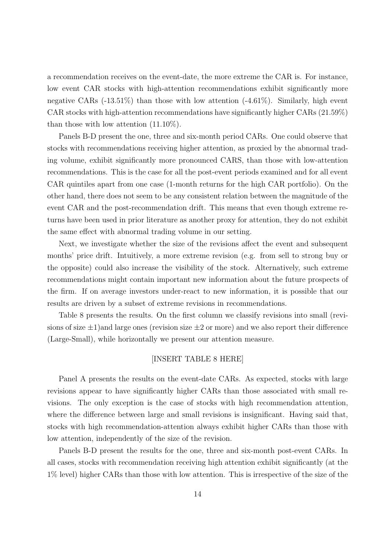a recommendation receives on the event-date, the more extreme the CAR is. For instance, low event CAR stocks with high-attention recommendations exhibit significantly more negative CARs  $(-13.51\%)$  than those with low attention  $(-4.61\%)$ . Similarly, high event CAR stocks with high-attention recommendations have significantly higher CARs (21.59%) than those with low attention (11.10%).

Panels B-D present the one, three and six-month period CARs. One could observe that stocks with recommendations receiving higher attention, as proxied by the abnormal trading volume, exhibit significantly more pronounced CARS, than those with low-attention recommendations. This is the case for all the post-event periods examined and for all event CAR quintiles apart from one case (1-month returns for the high CAR portfolio). On the other hand, there does not seem to be any consistent relation between the magnitude of the event CAR and the post-recommendation drift. This means that even though extreme returns have been used in prior literature as another proxy for attention, they do not exhibit the same effect with abnormal trading volume in our setting.

Next, we investigate whether the size of the revisions affect the event and subsequent months' price drift. Intuitively, a more extreme revision (e.g. from sell to strong buy or the opposite) could also increase the visibility of the stock. Alternatively, such extreme recommendations might contain important new information about the future prospects of the firm. If on average investors under-react to new information, it is possible that our results are driven by a subset of extreme revisions in recommendations.

Table 8 presents the results. On the first column we classify revisions into small (revisions of size  $\pm 1$ ) and large ones (revision size  $\pm 2$  or more) and we also report their difference (Large-Small), while horizontally we present our attention measure.

### [INSERT TABLE 8 HERE]

Panel A presents the results on the event-date CARs. As expected, stocks with large revisions appear to have significantly higher CARs than those associated with small revisions. The only exception is the case of stocks with high recommendation attention, where the difference between large and small revisions is insignificant. Having said that, stocks with high recommendation-attention always exhibit higher CARs than those with low attention, independently of the size of the revision.

Panels B-D present the results for the one, three and six-month post-event CARs. In all cases, stocks with recommendation receiving high attention exhibit significantly (at the 1% level) higher CARs than those with low attention. This is irrespective of the size of the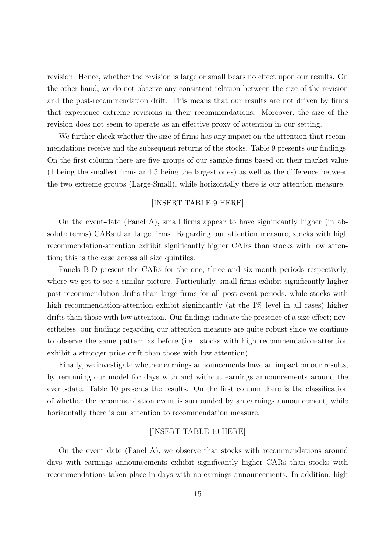revision. Hence, whether the revision is large or small bears no effect upon our results. On the other hand, we do not observe any consistent relation between the size of the revision and the post-recommendation drift. This means that our results are not driven by firms that experience extreme revisions in their recommendations. Moreover, the size of the revision does not seem to operate as an effective proxy of attention in our setting.

We further check whether the size of firms has any impact on the attention that recommendations receive and the subsequent returns of the stocks. Table 9 presents our findings. On the first column there are five groups of our sample firms based on their market value (1 being the smallest firms and 5 being the largest ones) as well as the difference between the two extreme groups (Large-Small), while horizontally there is our attention measure.

#### [INSERT TABLE 9 HERE]

On the event-date (Panel A), small firms appear to have significantly higher (in absolute terms) CARs than large firms. Regarding our attention measure, stocks with high recommendation-attention exhibit significantly higher CARs than stocks with low attention; this is the case across all size quintiles.

Panels B-D present the CARs for the one, three and six-month periods respectively, where we get to see a similar picture. Particularly, small firms exhibit significantly higher post-recommendation drifts than large firms for all post-event periods, while stocks with high recommendation-attention exhibit significantly (at the 1\% level in all cases) higher drifts than those with low attention. Our findings indicate the presence of a size effect; nevertheless, our findings regarding our attention measure are quite robust since we continue to observe the same pattern as before (i.e. stocks with high recommendation-attention exhibit a stronger price drift than those with low attention).

Finally, we investigate whether earnings announcements have an impact on our results, by rerunning our model for days with and without earnings announcements around the event-date. Table 10 presents the results. On the first column there is the classification of whether the recommendation event is surrounded by an earnings announcement, while horizontally there is our attention to recommendation measure.

#### [INSERT TABLE 10 HERE]

On the event date (Panel A), we observe that stocks with recommendations around days with earnings announcements exhibit significantly higher CARs than stocks with recommendations taken place in days with no earnings announcements. In addition, high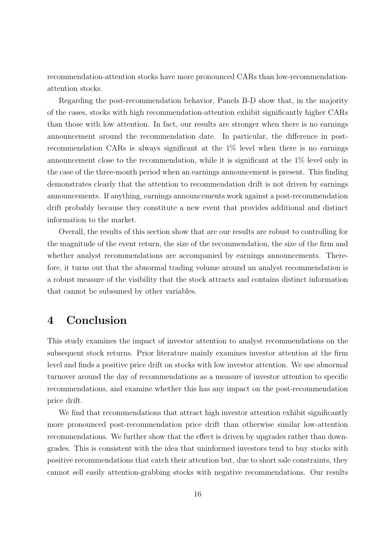recommendation-attention stocks have more pronounced CARs than low-recommendationattention stocks.

Regarding the post-recommendation behavior, Panels B-D show that, in the majority of the cases, stocks with high recommendation-attention exhibit significantly higher CARs than those with low attention. In fact, our results are stronger when there is no earnings announcement around the recommendation date. In particular, the difference in postrecommendation CARs is always significant at the 1% level when there is no earnings announcement close to the recommendation, while it is significant at the 1% level only in the case of the three-month period when an earnings announcement is present. This finding demonstrates clearly that the attention to recommendation drift is not driven by earnings announcements. If anything, earnings announcements work against a post-recommendation drift probably because they constitute a new event that provides additional and distinct information to the market.

Overall, the results of this section show that are our results are robust to controlling for the magnitude of the event return, the size of the recommendation, the size of the firm and whether analyst recommendations are accompanied by earnings announcements. Therefore, it turns out that the abnormal trading volume around an analyst recommendation is a robust measure of the visibility that the stock attracts and contains distinct information that cannot be subsumed by other variables.

## 4 Conclusion

This study examines the impact of investor attention to analyst recommendations on the subsequent stock returns. Prior literature mainly examines investor attention at the firm level and finds a positive price drift on stocks with low investor attention. We use abnormal turnover around the day of recommendations as a measure of investor attention to specific recommendations, and examine whether this has any impact on the post-recommendation price drift.

We find that recommendations that attract high investor attention exhibit significantly more pronounced post-recommendation price drift than otherwise similar low-attention recommendations. We further show that the effect is driven by upgrades rather than downgrades. This is consistent with the idea that uninformed investors tend to buy stocks with positive recommendations that catch their attention but, due to short sale constraints, they cannot sell easily attention-grabbing stocks with negative recommendations. Our results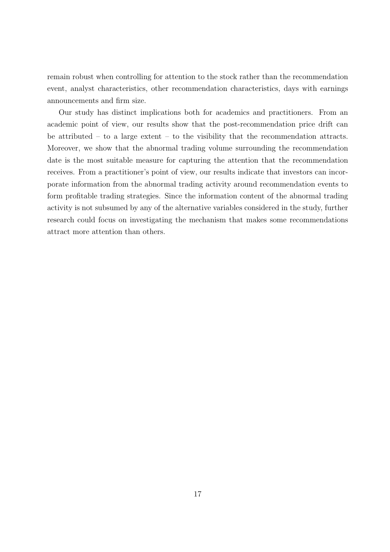remain robust when controlling for attention to the stock rather than the recommendation event, analyst characteristics, other recommendation characteristics, days with earnings announcements and firm size.

Our study has distinct implications both for academics and practitioners. From an academic point of view, our results show that the post-recommendation price drift can be attributed – to a large extent – to the visibility that the recommendation attracts. Moreover, we show that the abnormal trading volume surrounding the recommendation date is the most suitable measure for capturing the attention that the recommendation receives. From a practitioner's point of view, our results indicate that investors can incorporate information from the abnormal trading activity around recommendation events to form profitable trading strategies. Since the information content of the abnormal trading activity is not subsumed by any of the alternative variables considered in the study, further research could focus on investigating the mechanism that makes some recommendations attract more attention than others.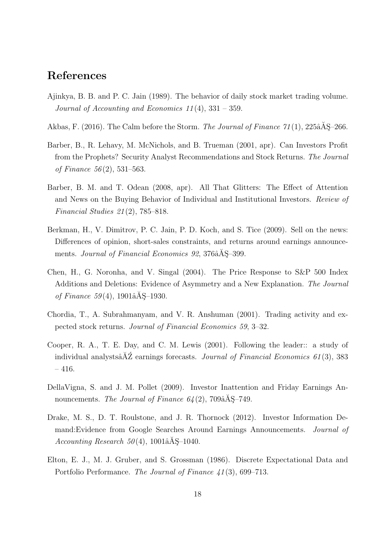## References

- Ajinkya, B. B. and P. C. Jain (1989). The behavior of daily stock market trading volume. Journal of Accounting and Economics  $11(4)$ ,  $331 - 359$ .
- Akbas, F. (2016). The Calm before the Storm. The Journal of Finance  $71(1)$ ,  $225\text{\AA}S-266$ .
- Barber, B., R. Lehavy, M. McNichols, and B. Trueman (2001, apr). Can Investors Profit from the Prophets? Security Analyst Recommendations and Stock Returns. The Journal of Finance 56 (2), 531–563.
- Barber, B. M. and T. Odean (2008, apr). All That Glitters: The Effect of Attention and News on the Buying Behavior of Individual and Institutional Investors. Review of Financial Studies  $21(2)$ , 785–818.
- Berkman, H., V. Dimitrov, P. C. Jain, P. D. Koch, and S. Tice (2009). Sell on the news: Differences of opinion, short-sales constraints, and returns around earnings announcements. Journal of Financial Economics 92, 376 $\hat{A}S$ –399.
- Chen, H., G. Noronha, and V. Singal (2004). The Price Response to S&P 500 Index Additions and Deletions: Evidence of Asymmetry and a New Explanation. The Journal of Finance  $59(4)$ , 1901 $\hat{A}S-1930$ .
- Chordia, T., A. Subrahmanyam, and V. R. Anshuman (2001). Trading activity and expected stock returns. Journal of Financial Economics 59, 3–32.
- Cooper, R. A., T. E. Day, and C. M. Lewis (2001). Following the leader:: a study of individual analysts $\tilde{A}Z$  earnings forecasts. *Journal of Financial Economics 61*(3), 383 – 416.
- DellaVigna, S. and J. M. Pollet (2009). Investor Inattention and Friday Earnings Announcements. The Journal of Finance  $64(2)$ , 709 $\angle$ a $\overline{AS}$ -749.
- Drake, M. S., D. T. Roulstone, and J. R. Thornock (2012). Investor Information Demand:Evidence from Google Searches Around Earnings Announcements. Journal of  $Accounting Research 50(4), 1001â<sub>A</sub>SS-1040.$
- Elton, E. J., M. J. Gruber, and S. Grossman (1986). Discrete Expectational Data and Portfolio Performance. The Journal of Finance 41(3), 699–713.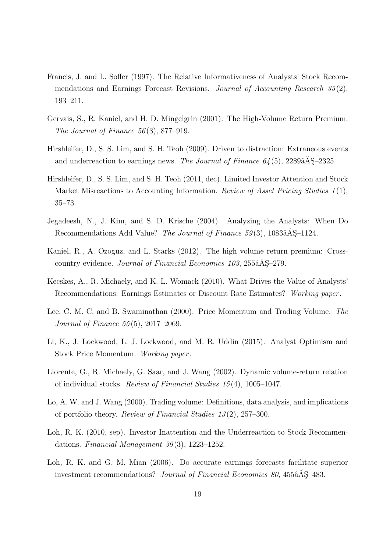- Francis, J. and L. Soffer (1997). The Relative Informativeness of Analysts' Stock Recommendations and Earnings Forecast Revisions. Journal of Accounting Research 35(2), 193–211.
- Gervais, S., R. Kaniel, and H. D. Mingelgrin (2001). The High-Volume Return Premium. The Journal of Finance  $56(3)$ , 877–919.
- Hirshleifer, D., S. S. Lim, and S. H. Teoh (2009). Driven to distraction: Extraneous events and underreaction to earnings news. The Journal of Finance  $64(5)$ ,  $2289a\text{\AA}S-2325$ .
- Hirshleifer, D., S. S. Lim, and S. H. Teoh (2011, dec). Limited Investor Attention and Stock Market Misreactions to Accounting Information. Review of Asset Pricing Studies  $1(1)$ , 35–73.
- Jegadeesh, N., J. Kim, and S. D. Krische (2004). Analyzing the Analysts: When Do Recommendations Add Value? The Journal of Finance  $59(3)$ ,  $1083â$ AS– $1124$ .
- Kaniel, R., A. Ozoguz, and L. Starks (2012). The high volume return premium: Crosscountry evidence. Journal of Financial Economics 103, 255 $\tilde{A}S-279$ .
- Kecskes, A., R. Michaely, and K. L. Womack (2010). What Drives the Value of Analysts' Recommendations: Earnings Estimates or Discount Rate Estimates? Working paper .
- Lee, C. M. C. and B. Swaminathan (2000). Price Momentum and Trading Volume. The Journal of Finance 55 (5), 2017–2069.
- Li, K., J. Lockwood, L. J. Lockwood, and M. R. Uddin (2015). Analyst Optimism and Stock Price Momentum. Working paper .
- Llorente, G., R. Michaely, G. Saar, and J. Wang (2002). Dynamic volume-return relation of individual stocks. Review of Financial Studies 15 (4), 1005–1047.
- Lo, A. W. and J. Wang (2000). Trading volume: Definitions, data analysis, and implications of portfolio theory. Review of Financial Studies 13 (2), 257–300.
- Loh, R. K. (2010, sep). Investor Inattention and the Underreaction to Stock Recommendations. Financial Management  $39(3)$ , 1223–1252.
- Loh, R. K. and G. M. Mian (2006). Do accurate earnings forecasts facilitate superior investment recommendations? Journal of Financial Economics 80,  $455\hat{a}\hat{A}\hat{S}$  –483.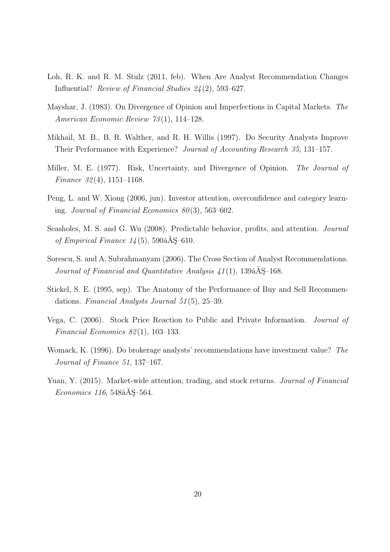- Loh, R. K. and R. M. Stulz (2011, feb). When Are Analyst Recommendation Changes Influential? Review of Financial Studies 24 (2), 593–627.
- Mayshar, J. (1983). On Divergence of Opinion and Imperfections in Capital Markets. The American Economic Review 73(1), 114-128.
- Mikhail, M. B., B. R. Walther, and R. H. Willis (1997). Do Security Analysts Improve Their Performance with Experience? Journal of Accounting Research 35, 131–157.
- Miller, M. E. (1977). Risk, Uncertainty, and Divergence of Opinion. The Journal of Finance 32(4), 1151–1168.
- Peng, L. and W. Xiong (2006, jun). Investor attention, overconfidence and category learning. Journal of Financial Economics  $80(3)$ , 563–602.
- Seasholes, M. S. and G. Wu (2008). Predictable behavior, profits, and attention. Journal of Empirical Finance  $14(5)$ , 590 $\hat{a}$ AŞ–610.
- Sorescu, S. and A. Subrahmanyam (2006). The Cross Section of Analyst Recommendations. Journal of Financial and Quantitative Analysis  $\angle 1(1)$ , 139 $\angle$ AS–168.
- Stickel, S. E. (1995, sep). The Anatomy of the Performance of Buy and Sell Recommendations. Financial Analysts Journal 51 (5), 25–39.
- Vega, C. (2006). Stock Price Reaction to Public and Private Information. Journal of Financial Economics 82 (1), 103–133.
- Womack, K. (1996). Do brokerage analysts' recommendations have investment value? The Journal of Finance 51, 137–167.
- Yuan, Y. (2015). Market-wide attention, trading, and stock returns. *Journal of Financial*  $Economics\ 116, 548âA<sub>S</sub>–564.$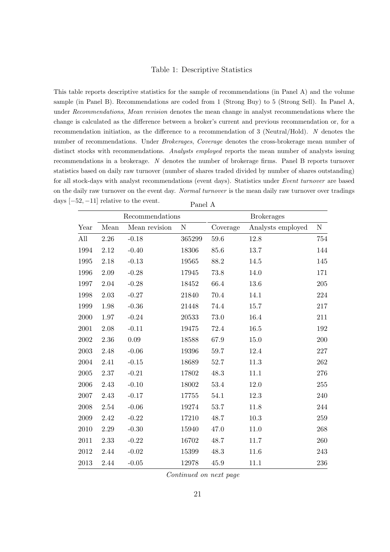#### Table 1: Descriptive Statistics

This table reports descriptive statistics for the sample of recommendations (in Panel A) and the volume sample (in Panel B). Recommendations are coded from 1 (Strong Buy) to 5 (Strong Sell). In Panel A, under Recommendations, Mean revision denotes the mean change in analyst recommendations where the change is calculated as the difference between a broker's current and previous recommendation or, for a recommendation initiation, as the difference to a recommendation of 3 (Neutral/Hold). N denotes the number of recommendations. Under Brokerages, Coverage denotes the cross-brokerage mean number of distinct stocks with recommendations. Analysts employed reports the mean number of analysts issuing recommendations in a brokerage. N denotes the number of brokerage firms. Panel B reports turnover statistics based on daily raw turnover (number of shares traded divided by number of shares outstanding) for all stock-days with analyst recommendations (event days). Statistics under Event turnover are based on the daily raw turnover on the event day. Normal turnover is the mean daily raw turnover over tradings days  $[-52, -11]$  relative to the event. Panel A

|          |          | Recommendations |           |          | <b>Brokerages</b> |           |
|----------|----------|-----------------|-----------|----------|-------------------|-----------|
| Year     | Mean     | Mean revision   | ${\bf N}$ | Coverage | Analysts employed | ${\rm N}$ |
| All      | $2.26\,$ | $-0.18$         | 365299    | 59.6     | 12.8              | 754       |
| 1994     | 2.12     | $-0.40$         | 18306     | 85.6     | 13.7              | 144       |
| 1995     | 2.18     | $-0.13$         | 19565     | 88.2     | 14.5              | 145       |
| 1996     | 2.09     | $-0.28$         | 17945     | 73.8     | 14.0              | 171       |
| 1997     | 2.04     | $-0.28$         | 18452     | 66.4     | 13.6              | 205       |
| 1998     | 2.03     | $-0.27$         | 21840     | 70.4     | 14.1              | 224       |
| 1999     | 1.98     | $-0.36$         | 21448     | 74.4     | 15.7              | 217       |
| 2000     | 1.97     | $-0.24$         | 20533     | $73.0\,$ | 16.4              | 211       |
| 2001     | 2.08     | $-0.11$         | 19475     | 72.4     | 16.5              | 192       |
| 2002     | 2.36     | 0.09            | 18588     | 67.9     | 15.0              | 200       |
| 2003     | 2.48     | $-0.06$         | 19396     | 59.7     | 12.4              | 227       |
| 2004     | 2.41     | $-0.15$         | 18689     | 52.7     | 11.3              | 262       |
| 2005     | 2.37     | $-0.21$         | 17802     | 48.3     | 11.1              | 276       |
| 2006     | 2.43     | $-0.10$         | 18002     | 53.4     | 12.0              | 255       |
| $2007\,$ | 2.43     | $-0.17$         | 17755     | 54.1     | 12.3              | 240       |
| 2008     | 2.54     | $-0.06$         | 19274     | 53.7     | 11.8              | 244       |
| 2009     | 2.42     | $-0.22$         | 17210     | 48.7     | 10.3              | 259       |
| 2010     | $2.29\,$ | $-0.30$         | 15940     | 47.0     | 11.0              | 268       |
| 2011     | 2.33     | $-0.22$         | 16702     | 48.7     | 11.7              | 260       |
| 2012     | 2.44     | $-0.02$         | 15399     | 48.3     | 11.6              | 243       |
| 2013     | 2.44     | $-0.05$         | 12978     | 45.9     | 11.1              | 236       |

Continued on next page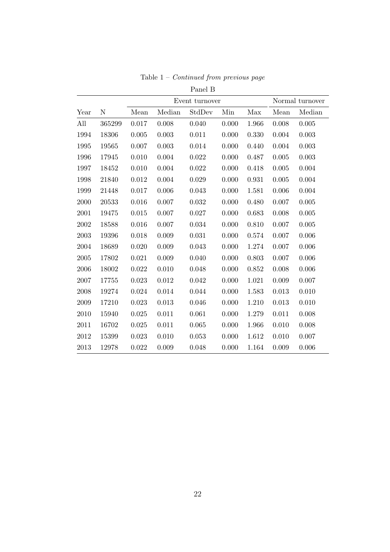|      |        |       |        | Panel B        |       |       |       |                 |
|------|--------|-------|--------|----------------|-------|-------|-------|-----------------|
|      |        |       |        | Event turnover |       |       |       | Normal turnover |
| Year | N      | Mean  | Median | StdDev         | Min   | Max   | Mean  | Median          |
| All  | 365299 | 0.017 | 0.008  | 0.040          | 0.000 | 1.966 | 0.008 | 0.005           |
| 1994 | 18306  | 0.005 | 0.003  | 0.011          | 0.000 | 0.330 | 0.004 | 0.003           |
| 1995 | 19565  | 0.007 | 0.003  | 0.014          | 0.000 | 0.440 | 0.004 | 0.003           |
| 1996 | 17945  | 0.010 | 0.004  | 0.022          | 0.000 | 0.487 | 0.005 | 0.003           |
| 1997 | 18452  | 0.010 | 0.004  | 0.022          | 0.000 | 0.418 | 0.005 | 0.004           |
| 1998 | 21840  | 0.012 | 0.004  | 0.029          | 0.000 | 0.931 | 0.005 | 0.004           |
| 1999 | 21448  | 0.017 | 0.006  | 0.043          | 0.000 | 1.581 | 0.006 | 0.004           |
| 2000 | 20533  | 0.016 | 0.007  | 0.032          | 0.000 | 0.480 | 0.007 | 0.005           |
| 2001 | 19475  | 0.015 | 0.007  | 0.027          | 0.000 | 0.683 | 0.008 | 0.005           |
| 2002 | 18588  | 0.016 | 0.007  | 0.034          | 0.000 | 0.810 | 0.007 | 0.005           |
| 2003 | 19396  | 0.018 | 0.009  | 0.031          | 0.000 | 0.574 | 0.007 | 0.006           |
| 2004 | 18689  | 0.020 | 0.009  | 0.043          | 0.000 | 1.274 | 0.007 | 0.006           |
| 2005 | 17802  | 0.021 | 0.009  | 0.040          | 0.000 | 0.803 | 0.007 | 0.006           |
| 2006 | 18002  | 0.022 | 0.010  | 0.048          | 0.000 | 0.852 | 0.008 | 0.006           |
| 2007 | 17755  | 0.023 | 0.012  | 0.042          | 0.000 | 1.021 | 0.009 | 0.007           |
| 2008 | 19274  | 0.024 | 0.014  | 0.044          | 0.000 | 1.583 | 0.013 | 0.010           |
| 2009 | 17210  | 0.023 | 0.013  | 0.046          | 0.000 | 1.210 | 0.013 | 0.010           |
| 2010 | 15940  | 0.025 | 0.011  | 0.061          | 0.000 | 1.279 | 0.011 | 0.008           |
| 2011 | 16702  | 0.025 | 0.011  | 0.065          | 0.000 | 1.966 | 0.010 | 0.008           |
| 2012 | 15399  | 0.023 | 0.010  | 0.053          | 0.000 | 1.612 | 0.010 | 0.007           |
| 2013 | 12978  | 0.022 | 0.009  | 0.048          | 0.000 | 1.164 | 0.009 | 0.006           |

Table  $1 -$  *Continued from previous page*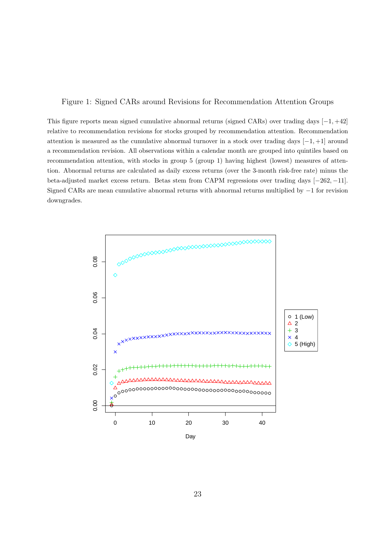#### Figure 1: Signed CARs around Revisions for Recommendation Attention Groups

This figure reports mean signed cumulative abnormal returns (signed CARs) over trading days  $[-1, +42]$ relative to recommendation revisions for stocks grouped by recommendation attention. Recommendation attention is measured as the cumulative abnormal turnover in a stock over trading days  $[-1, +1]$  around a recommendation revision. All observations within a calendar month are grouped into quintiles based on recommendation attention, with stocks in group 5 (group 1) having highest (lowest) measures of attention. Abnormal returns are calculated as daily excess returns (over the 3-month risk-free rate) minus the beta-adjusted market excess return. Betas stem from CAPM regressions over trading days [−262, −11]. Signed CARs are mean cumulative abnormal returns with abnormal returns multiplied by −1 for revision downgrades.

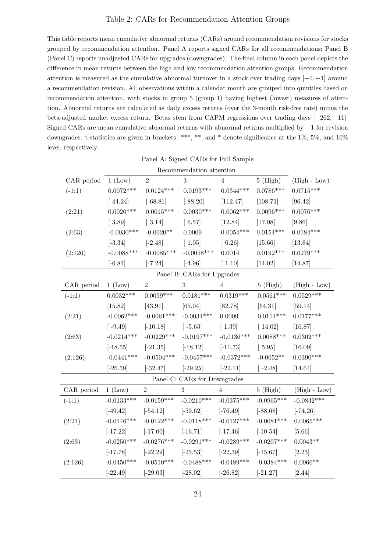#### Table 2: CARs for Recommendation Attention Groups

This table reports mean cumulative abnormal returns (CARs) around recommendation revisions for stocks grouped by recommendation attention. Panel A reports signed CARs for all recommendations; Panel B (Panel C) reports unadjusted CARs for upgrades (downgrades). The final column in each panel depicts the difference in mean returns between the high and low recommendation attention groups. Recommendation attention is measured as the cumulative abnormal turnover in a stock over trading days  $[-1, +1]$  around a recommendation revision. All observations within a calendar month are grouped into quintiles based on recommendation attention, with stocks in group 5 (group 1) having highest (lowest) measures of attention. Abnormal returns are calculated as daily excess returns (over the 3-month risk-free rate) minus the beta-adjusted market excess return. Betas stem from CAPM regressions over trading days [−262, −11]. Signed CARs are mean cumulative abnormal returns with abnormal returns multiplied by −1 for revision downgrades. t-statistics are given in brackets. \*\*\*, \*\*, and \* denote significance at the 1%, 5%, and 10% level, respectively.

|                                                                                                                                       |              |                | I allel A. Signed CARS for Full Sample |                |              |                |  |  |  |  |  |  |
|---------------------------------------------------------------------------------------------------------------------------------------|--------------|----------------|----------------------------------------|----------------|--------------|----------------|--|--|--|--|--|--|
| Recommendation attention<br>$\overline{2}$<br>$\boldsymbol{3}$<br>$5$ (High)<br>CAR period<br>$(High - Low)$<br>$1~(\text{Low})$<br>4 |              |                |                                        |                |              |                |  |  |  |  |  |  |
|                                                                                                                                       |              |                |                                        |                |              |                |  |  |  |  |  |  |
| $(-1:1)$                                                                                                                              | $0.0072***$  | $0.0124***$    | $0.0193***$                            | $0.0344***$    | $0.0786***$  | $0.0715***$    |  |  |  |  |  |  |
|                                                                                                                                       | $[44.24]$    | [68.81]        | [88.20]                                | [112.47]       | [108.73]     | [96.42]        |  |  |  |  |  |  |
| (2:21)                                                                                                                                | $0.0020***$  | $0.0015***$    | $0.0030***$                            | $0.0062***$    | $0.0096***$  | $0.0076***$    |  |  |  |  |  |  |
|                                                                                                                                       | $[3.89]$     | $[3.14]$       | $\left[6.57\right]$                    | [12.84]        | [17.08]      | [9.86]         |  |  |  |  |  |  |
| (2:63)                                                                                                                                | $-0.0030***$ | $-0.0020**$    | 0.0009                                 | $0.0054***$    | $0.0154***$  | $0.0184***$    |  |  |  |  |  |  |
|                                                                                                                                       | $[-3.34]$    | $[-2.48]$      | $[1.05]$                               | $[6.26]$       | $[15.66]$    | [13.84]        |  |  |  |  |  |  |
| (2:126)                                                                                                                               | $-0.0088***$ | $-0.0085***$   | $-0.0058***$                           | 0.0014         | $0.0192***$  | $0.0279***$    |  |  |  |  |  |  |
|                                                                                                                                       | $[-6.81]$    | $[-7.24]$      | $[-4.96]$                              | $[1.10]$       | $[14.02]$    | [14.87]        |  |  |  |  |  |  |
|                                                                                                                                       |              |                | Panel B: CARs for Upgrades             |                |              |                |  |  |  |  |  |  |
| CAR period                                                                                                                            | 1 (Low)      | $\overline{2}$ | $\sqrt{3}$                             | $\overline{4}$ | $5$ (High)   | $(High - Low)$ |  |  |  |  |  |  |
| $(-1:1)$                                                                                                                              | $0.0032***$  | $0.0099***$    | $0.0181***$                            | $0.0319***$    | $0.0561***$  | $0.0529***$    |  |  |  |  |  |  |
|                                                                                                                                       | [15.82]      | $[43.91]$      | [65.04]                                | [82.78]        | $[64.31]$    | [59.14]        |  |  |  |  |  |  |
| (2:21)                                                                                                                                | $-0.0062***$ | $-0.0061***$   | $-0.0034***$                           | 0.0009         | $0.0114***$  | $0.0177***$    |  |  |  |  |  |  |
|                                                                                                                                       | $[-9.49]$    | $[-10.18]$     | $[-5.63]$                              | $[1.39]$       | $[14.02]$    | [16.87]        |  |  |  |  |  |  |
| (2:63)                                                                                                                                | $-0.0214***$ | $-0.0229***$   | $-0.0197***$                           | $-0.0136***$   | $0.0088***$  | $0.0302***$    |  |  |  |  |  |  |
|                                                                                                                                       | $[-18.55]$   | $[-21.35]$     | $[-18.12]$                             | $[-11.73]$     | $[5.95]$     | [16.09]        |  |  |  |  |  |  |
| (2:126)                                                                                                                               | $-0.0441***$ | $-0.0504***$   | $-0.0457***$                           | $-0.0372***$   | $-0.0052**$  | $0.0390***$    |  |  |  |  |  |  |
|                                                                                                                                       | $[-26.59]$   | $[-32.47]$     | $[-29.25]$                             | $[-22.11]$     | $[-2.48]$    | [14.64]        |  |  |  |  |  |  |
|                                                                                                                                       |              |                | Panel C: CARs for Downgrades           |                |              |                |  |  |  |  |  |  |
| CAR period                                                                                                                            | 1 (Low)      | $\,2$          | $\sqrt{3}$                             | 4              | $5$ (High)   | $(High - Low)$ |  |  |  |  |  |  |
| $(-1:1)$                                                                                                                              | $-0.0133***$ | $-0.0159***$   | $-0.0210***$                           | $-0.0375***$   | $-0.0965***$ | $-0.0832***$   |  |  |  |  |  |  |
|                                                                                                                                       | $[-49.42]$   | $[-54.12]$     | $[-59.62]$                             | $[-76.49]$     | $[-88.68]$   | $[-74.26]$     |  |  |  |  |  |  |
| (2:21)                                                                                                                                | $-0.0146***$ | $-0.0122***$   | $-0.0118***$                           | $-0.0127***$   | $-0.0081***$ | $0.0065***$    |  |  |  |  |  |  |
|                                                                                                                                       | $[-17.22]$   | $[-17.00]$     | $[-16.71]$                             | $[-17.46]$     | $[-10.54]$   | $[5.66]$       |  |  |  |  |  |  |
| (2:63)                                                                                                                                | $-0.0250***$ | $-0.0276***$   | $-0.0291***$                           | $-0.0289***$   | $-0.0207***$ | $0.0043**$     |  |  |  |  |  |  |
|                                                                                                                                       | $[-17.78]$   | $[-22.29]$     | $[-23.53]$                             | $[-22.39]$     | $[-15.67]$   | [2.23]         |  |  |  |  |  |  |
| (2:126)                                                                                                                               | $-0.0450***$ | $-0.0510***$   | $-0.0488***$                           | $-0.0489***$   | $-0.0384***$ | $0.0066**$     |  |  |  |  |  |  |
|                                                                                                                                       | $[-22.49]$   | $[-29.03]$     | $[-28.02]$                             | $[-26.82]$     | $[-21.27]$   | [2.44]         |  |  |  |  |  |  |

Panel A: Signed CARs for Full Sample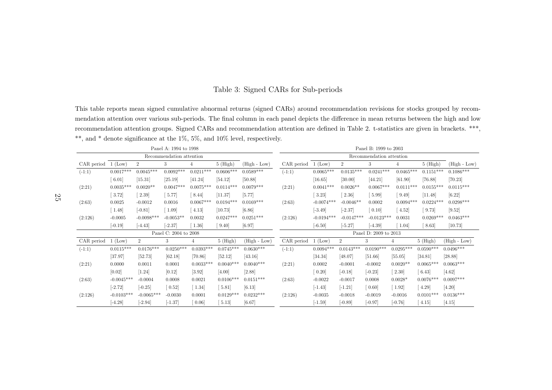### Table 3: Signed CARs for Sub-periods

This table reports mean signed cumulative abnormal returns (signed CARs) around recommendation revisions for stocks grouped by recommendation attention over various sub-periods. The final column in each pane<sup>l</sup> depicts the difference in mean returns between the high and lowrecommendation attention groups. Signed CARs and recommendation attention are defined in Table 2. t-statistics are given in brackets. \*\*\*, \*\*, and \* denote significance at the 1%, 5%, and 10% level, respectively.

|            |              | Panel A: 1994 to 1998 |                          |                |             |                | Panel B: 1999 to 2003 |                     |                |                          |                |                     |                  |
|------------|--------------|-----------------------|--------------------------|----------------|-------------|----------------|-----------------------|---------------------|----------------|--------------------------|----------------|---------------------|------------------|
|            |              |                       | Recommendation attention |                |             |                |                       |                     |                | Recommendation attention |                |                     |                  |
| CAR period | $1$ (Low)    | $\overline{2}$        | 3                        | 4              | $5$ (High)  | $(High - Low)$ | CAR period            | $1$ (Low)           | $\overline{2}$ | 3                        | $\overline{4}$ | $5$ (High)          | $(High - Low)$   |
| $(-1:1)$   | $0.0017***$  | $0.0045^{***}\,$      | $0.0092***$              | $0.0211***$    | $0.0606***$ | $0.0589***$    | $(-1:1)$              | $0.0065***$         | $0.0135***$    | $0.0241***$              | $0.0465***$    | $0.1151***$         | $0.1086^{***}\,$ |
|            | 6.01         | $[15.31]$             | [25.19]                  | [41.24]        | [54.12]     | [50.88]        |                       | $[16.65]$           | [30.00]        | [44.21]                  | [61.90]        | $[76.88]$           | [70.23]          |
| (2:21)     | $0.0035***$  | $0.0020**$            | $0.0047***$              | $0.0075***$    | $0.0114***$ | $0.0079***$    | (2:21)                | $0.0041***$         | $0.0026**$     | $0.0067***$              | $0.0111***$    | $0.0155***$         | $0.0115***$      |
|            | 3.72         | 2.39                  | 5.77                     | 8.44           | [11.37]     | [5.77]         |                       | 3.23                | 2.36           | 5.99                     | 9.49           | [11.48]             | $[6.22]$         |
| (2:63)     | 0.0025       | $-0.0012$             | 0.0016                   | $0.0067***$    | $0.0194***$ | $0.0169***$    | (2:63)                | $-0.0074***$        | $-0.0046**$    | 0.0002                   | $0.0094***$    | $0.0224***$         | $0.0298***$      |
|            | 1.48         | $[-0.81]$             | 1.09                     | 4.13           | [10.73]     | [6.86]         |                       | $[-3.49]$           | $[-2.37]$      | 0.10                     | 4.52           | 9.73                | [9.52]           |
| (2:126)    | $-0.0005$    | $-0.0098***$          | $-0.0053**$              | 0.0032         | $0.0247***$ | $0.0251***$    | (2:126)               | $-0.0194***$        | $-0.0147***$   | $-0.0123***$             | 0.0031         | $0.0269***$         | $0.0463***$      |
|            | $[-0.19]$    | $[-4.43]$             | $[-2.37]$                | 1.36           | 9.40        | [6.97]         |                       | $[-6.50]$           | $[-5.27]$      | $[-4.39]$                | 1.04           | 8.63                | [10.73]          |
|            |              |                       | Panel C: 2004 to 2008    |                |             |                |                       |                     |                | Panel D: 2009 to 2013    |                |                     |                  |
| CAR period | (Low)        | $\overline{2}$        | 3                        | $\overline{4}$ | $5$ (High)  | (High - Low)   | CAR period            | (Low)               | $\overline{2}$ | 3                        | 4              | $5$ (High)          | $(High - Low)$   |
| $(-1:1)$   | $0.0115***$  | $0.0176***$           | $0.0250***$              | $0.0393***$    | $0.0745***$ | $0.0630***$    | $(-1:1)$              | $0.0094***$         | $0.0143***$    | $0.0190***$              | $0.0295***$    | $0.0590***$         | $0.0496***$      |
|            | [37.97]      | [52.73]               | [62.18]                  | [70.86]        | [52.12]     | [43.16]        |                       | [34.34]             | [48.07]        | [51.66]                  | [55.05]        | [34.81]             | [28.88]          |
| (2:21)     | 0.0000       | 0.0011                | 0.0001                   | $0.0033***$    | $0.0040***$ | $0.0040***$    | (2:21)                | 0.0002              | $-0.0001$      | $-0.0002$                | $0.0020**$     | $0.0065***$         | $0.0063***$      |
|            | [0.02]       | $[1.24]$              | [0.12]                   | $[3.92]$       | [4.00]      | [2.88]         |                       | $\left[0.20\right]$ | $[-0.18]$      | $[-0.23]$                | 2.30           | $\left[6.43\right]$ | [4.62]           |
| (2:63)     | $-0.0045***$ | $-0.0004$             | 0.0008                   | 0.0021         | $0.0106***$ | $0.0151***$    | (2:63)                | $-0.0022$           | $-0.0017$      | 0.0008                   | $0.0028*$      | $0.0076***$         | $0.0097***$      |
|            | $[-2.72]$    | $[-0.25]$             | $\left[0.52\right]$      | 1.34           | 5.81        | [6.13]         |                       | $[-1.43]$           | $[-1.21]$      | $\left[0.60\right]$      | 1.92           | $\left[4.29\right]$ | [4.20]           |
| (2:126)    | $-0.0103***$ | $-0.0065***$          | $-0.0030$                | 0.0001         | $0.0129***$ | $0.0232***$    | (2:126)               | $-0.0035$           | $-0.0018$      | $-0.0019$                | $-0.0016$      | $0.0101***$         | $0.0136***$      |
|            | $[-4.28]$    | $[-2.94]$             | $[-1.37]$                | 0.06           | 5.13        | [6.67]         |                       | $[-1.59]$           | $[-0.89]$      | $[-0.97]$                | $[-0.76]$      | 4.15                | [4.15]           |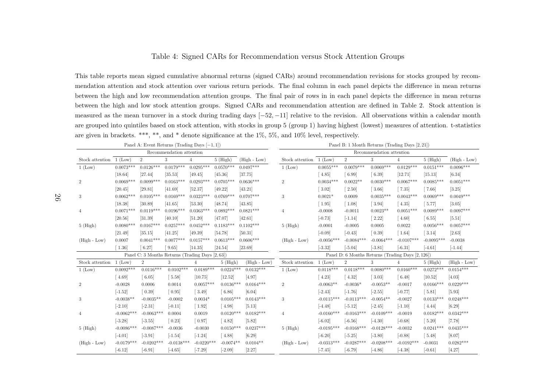### Table 4: Signed CARs for Recommendation versus Stock Attention Groups

This table reports mean signed cumulative abnormal returns (signed CARs) around recommendation revisions for stocks grouped by recommendation attention and stock attention over various return periods. The final column in each pane<sup>l</sup> depicts the difference in mean returns between the high and low recommendation attention groups. The final pair of rows in in each pane<sup>l</sup> depicts the difference in mean returns between the high and low stock attention groups. Signed CARs and recommendation attention are defined in Table 2. Stock attention is measured as the mean turnover in a stock during trading days  $[-52, -11]$  relative to the revision. All observations within a calendar month are grouped into quintiles based on stock attention, with stocks in group <sup>5</sup> (group 1) having highest (lowest) measures of attention. t-statistics are <sup>g</sup>iven in brackets. \*\*\*, \*\*, and \* denote significance at the 1%, 5%, and 10% level, respectively.

|                 |                      | Panel A: Event Returns (Trading Days $[-1, 1]$ ) |                          |                                      |             |                | Panel B: 1 Month Returns (Trading Days [2, 21])<br>Recommendation attention |                      |                                                   |                      |                      |                       |                |
|-----------------|----------------------|--------------------------------------------------|--------------------------|--------------------------------------|-------------|----------------|-----------------------------------------------------------------------------|----------------------|---------------------------------------------------|----------------------|----------------------|-----------------------|----------------|
|                 |                      |                                                  | Recommendation attention |                                      |             |                |                                                                             |                      |                                                   |                      |                      |                       |                |
| Stock attention | $1~($ Low $)$        | $\overline{2}$                                   | 3                        | $\overline{4}$                       | $5$ (High)  | $(High - Low)$ | Stock attention                                                             | 1(Low)               | $\overline{2}$                                    | 3                    | $\overline{4}$       | $5$ (High)            | $(High - Low)$ |
| 1 (Low)         | $0.0073***$          | $0.0126***$                                      | $0.0179***$              | $0.0295***$                          | $0.0570***$ | $0.0497***$    | 1 (Low)                                                                     | $0.0055***$          | $0.0079***$                                       | $0.0069***$          | $0.0129***$          | $0.0151***$           | $0.0096***$    |
|                 | [18.64]              | [27.44]                                          | [35.53]                  | [49.45]                              | [45.36]     | [37.75]        |                                                                             | $[4.85]$             | [6.99]                                            | [6.39]               | [12.71]              | [15.13]               | [6.34]         |
| $\overline{2}$  | $0.0069***$          | $0.0099***$                                      | $0.0163***$              | $0.0293***$                          | $0.0705***$ | $0.0636***$    | $\overline{2}$                                                              | $0.0034***$          | $0.0022**$                                        | $0.0030***$          | $0.0067***$          | $0.0085***$           | $0.0051***$    |
|                 | [20.45]              | [29.81]                                          | [41.69]                  | [52.37]                              | [49.22]     | [43.21]        |                                                                             | $\left[ 3.02\right]$ | $\left[2.50\right]$                               | $\left[ 3.66\right]$ | $7.35$               | $[7.66]$              | [3.25]         |
| 3               | $0.0062***$          | $0.0105***$                                      | $0.0169***$              | $0.0323***$                          | $0.0769***$ | $0.0707***$    | $\boldsymbol{3}$                                                            | $0.0021*$            | 0.0009                                            | $0.0035***$          | $0.0043***$          | $0.0069***$           | $0.0049***$    |
|                 | [18.38]              | [30.89]                                          | [41.65]                  | [53.30]                              | [48.74]     | [43.85]        |                                                                             | $\left[ 1.95\right]$ | $\lceil 1.08 \rceil$                              | $[3.94]$             | $\left[4.35\right]$  | 5.77                  | [3.05]         |
| $\overline{4}$  | $0.0071***$          | $0.0119***$                                      | $0.0196***$              | $0.0363***$                          | $0.0892***$ | $0.0821***$    | $\overline{4}$                                                              | $-0.0008$            | $-0.0011$                                         | $0.0023**$           | $0.0051***$          | $0.0089***$           | $0.0097***$    |
|                 | [20.56]              | [31.39]                                          | [40.10]                  | [51.20]                              | [47.07]     | [42.61]        |                                                                             | $[-0.73]$            | $[-1.14]$                                         | $\left[ 2.22\right]$ | [4.60]               | [6.55]                | [5.51]         |
| $5$ (High)      | $0.0080***$          | $0.0167***$                                      | $0.0257***$              | $0.0452***$                          | $0.1183***$ | $0.1102***$    | $5$ (High)                                                                  | $-0.0001$            | $-0.0005$                                         | 0.0005               | 0.0022               | $0.0056***$           | $0.0057***$    |
|                 | [21.49]              | [35.15]                                          | [41.25]                  | [49.39]                              | [54.78]     | [50.31]        |                                                                             | $[-0.09]$            | $[-0.43]$                                         | $\left[0.39\right]$  | $\lceil 1.64 \rceil$ | $\left[3.14\right]$   | $[2.63]$       |
| $(High - Low)$  | 0.0007               | $0.0041***$                                      | $0.0077***$              | $0.0157***$                          | $0.0613***$ | $0.0606***$    | $(High - Low)$                                                              | $-0.0056***$         | $-0.0084***$                                      | $-0.0064***$         | $-0.0107***$         | $-0.0095***$          | $-0.0038$      |
|                 | $\left[ 1.36\right]$ | 6.27                                             | 9.65                     | [14.35]                              | [24.54]     | [23.69]        |                                                                             | $[-3.32]$            | $[-5.04]$                                         | $[-3.81]$            | $[-6.31]$            | $[-4.61]$             | $[-1.44]$      |
|                 |                      | Panel C: 3 Months Returns (Trading Days [2, 63]) |                          |                                      |             |                |                                                                             |                      | Panel D: 6 Months Returns (Trading Days [2, 126]) |                      |                      |                       |                |
| Stock attention | 1 (Low)              | $\overline{2}$                                   | 3                        | $\overline{4}$                       | $5$ (High)  | $(High - Low)$ | Stock attention                                                             | $1$ (Low)            | $\overline{2}$                                    | 3                    | 4                    | $5$ (High)            | $(High - Low)$ |
| 1 (Low)         | $0.0092***$          | $0.0116***$                                      | $0.0102***$              | $0.0189***$                          | $0.0224***$ | $0.0132***$    | 1 (Low)                                                                     | $0.0118***$          | $0.0118***$                                       | $0.0080***$          | $0.0160***$          | $0.0272***$           | $0.0154***$    |
|                 | $\left[4.69\right]$  | 6.05                                             | [5.58]                   | [10.75]                              | [12.52]     | [4.97]         |                                                                             | $\left[4.23\right]$  | [4.32]                                            | $\left[ 3.03\right]$ | [6.48]               | [10.52]               | [4.03]         |
| $\overline{2}$  | $-0.0028$            | 0.0006                                           | 0.0014                   | $0.0057***$                          | $0.0136***$ | $0.0164***$    | $\,2$                                                                       | $-0.0063**$          | $-0.0036*$                                        | $-0.0053**$          | $-0.0017$            | $0.0166***$           | $0.0229***$    |
|                 | $[-1.52]$            | $\left[0.39\right]$                              | $\left[0.95\right]$      | $\begin{bmatrix} 3.49 \end{bmatrix}$ | [6.86]      | [6.04]         |                                                                             | $[-2.43]$            | $[-1.76]$                                         | $[-2.55]$            | $[-0.77]$            | [5.81]                | [5.93]         |
| 3               | $-0.0038**$          | $-0.0035**$                                      | $-0.0002$                | $0.0034*$                            | $0.0105***$ | $0.0143***$    | 3                                                                           | $-0.0115***$         | $-0.0113***$                                      | $-0.0054**$          | $-0.0027$            | $0.0133***$           | $0.0248***$    |
|                 | $[-2.10]$            | $[-2.31]$                                        | $[-0.11]$                | $\lceil 1.92 \rceil$                 | [4.98]      | [5.13]         |                                                                             | $[-4.48]$            | $[-5.12]$                                         | $[-2.45]$            | $[-1.10]$            | [4.44]                | [6.29]         |
| $\overline{4}$  | $-0.0062***$         | $-0.0063***$                                     | 0.0004                   | 0.0019                               | $0.0120***$ | $0.0182***$    | $\overline{4}$                                                              | $-0.0160***$         | $-0.0163***$                                      | $-0.0109***$         | $-0.0019$            | $0.0182***$           | $0.0342***$    |
|                 | $[-3.28]$            | $[-3.55]$                                        | $\left[0.23\right]$      | $\left[0.97\right]$                  | [4.82]      | [5.82]         |                                                                             | $[-6.02]$            | $[-6.56]$                                         | $[-4.30]$            | $[-0.68]$            | $\left[ 5.20 \right]$ | [7.78]         |
| $5$ (High)      | $-0.0086***$         | $-0.0087***$                                     | $-0.0036$                | $-0.0030$                            | $0.0150***$ | $0.0237***$    | $5$ (High)                                                                  | $-0.0195***$         | $-0.0168***$                                      | $-0.0128***$         | $-0.0032$            | $0.0241***$           | $0.0435***$    |
|                 | $[-4.01]$            | $[-3.91]$                                        | $[-1.54]$                | $[-1.24]$                            | [4.88]      | [6.29]         |                                                                             | $[-6.20]$            | $[-5.25]$                                         | $[-3.80]$            | $[-0.88]$            | 5.48                  | [8.07]         |
| $(High - Low)$  | $-0.0179***$         | $-0.0202***$                                     | $-0.0138***$             | $-0.0220$ ***                        | $-0.0074**$ | $0.0104**$     | $(High - Low)$                                                              | $-0.0313***$         | $-0.0287***$                                      | $-0.0208***$         | $-0.0192***$         | $-0.0031$             | $0.0282***$    |
|                 | $[-6.12]$            | $[-6.91]$                                        | $[-4.65]$                | $[-7.29]$                            | $[-2.09]$   | [2.27]         |                                                                             | $[-7.45]$            | $[-6.79]$                                         | $[-4.86]$            | $[-4.38]$            | $[-0.61]$             | [4.27]         |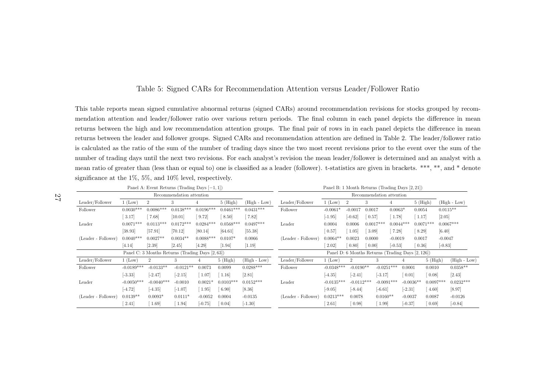### Table 5: Signed CARs for Recommendation Attention versus Leader/Follower Ratio

This table reports mean signed cumulative abnormal returns (signed CARs) around recommendation revisions for stocks grouped by recommendation attention and leader/follower ratio over various return periods. The final column in each pane<sup>l</sup> depicts the difference in meanreturns between the high and low recommendation attention groups. The final pair of rows in in each pane<sup>l</sup> depicts the difference in mean returns between the leader and follower groups. Signed CARs and recommendation attention are defined in Table 2. The leader/follower ratio is calculated as the ratio of the sum of the number of trading days since the two most recent revisions prior to the event over the sum of the number of trading days until the next two revisions. For each analyst's revision the mean leader/follower is determined and an analyst with <sup>a</sup> mean ratio of greater than (less than or equa<sup>l</sup> to) one is classified as <sup>a</sup> leader (follower). t-statistics are <sup>g</sup>iven in brackets. \*\*\*, \*\*, and \* denote significance at the 1%, 5%, and 10% level, respectively.

|                     |                     | Panel A: Event Returns (Trading Days $[-1,1]$ )  |                          |             |             |                |                     | Panel B: 1 Month Returns (Trading Days [2, 21]) |                     |                                                   |              |             |                      |            |                |
|---------------------|---------------------|--------------------------------------------------|--------------------------|-------------|-------------|----------------|---------------------|-------------------------------------------------|---------------------|---------------------------------------------------|--------------|-------------|----------------------|------------|----------------|
|                     |                     |                                                  | Recommendation attention |             |             |                |                     |                                                 |                     | Recommendation attention                          |              |             |                      |            |                |
| Leader/Follower     | $1$ (Low)           | $\overline{2}$                                   | 3                        |             | $5$ (High)  | $(High - Low)$ | Leader/Follower     | $1$ (Low)                                       |                     | 3                                                 | 4            |             | $5$ (High)           |            | $(High - Low)$ |
| Follower            | $0.0030***$         | $0.0086***$                                      | $0.0138***$              | $0.0196***$ | $0.0461***$ | $0.0431***$    | Follower            | $-0.0061*$                                      | $-0.0017$           | 0.0017                                            | $0.0063*$    |             | 0.0054               | $0.0115**$ |                |
|                     | $\left[3.17\right]$ | 7.68                                             | [10.01]                  | 9.72        | 8.50        | $7.82$         |                     | $[-1.95]$                                       | $[-0.62]$           | 0.57                                              | 1.78         |             | 1.17                 | [2.05]     |                |
| Leader              | $0.0071***$         | $0.0113***$                                      | $0.0172***$              | $0.0284***$ | $0.0568***$ | $0.0497***$    | Leader              | 0.0004                                          | 0.0006              | $0.0017***$                                       | $0.0044***$  |             | $0.0071***$          |            | $0.0067***$    |
|                     | [38.93]             | [57.91]                                          | [70.12]                  | [80.14]     | [64.61]     | [55.38]        |                     | 0.57                                            | 1.05                | 3.09                                              | 7.28         |             | $\left[ 8.29\right]$ | [6.40]     |                |
| (Leader - Follower) | $0.0040***$         | $0.0027**$                                       | $0.0034**$               | $0.0088***$ | $0.0107*$   | 0.0066         | (Leader - Follower) | $0.0064**$                                      | 0.0023              | 0.0000                                            | $-0.0019$    |             | 0.0017               | $-0.0047$  |                |
|                     | [4.14]              | [2.39]                                           | [2.45]                   | [4.29]      | $[1.94]$    | $[1.19]$       |                     | 2.02                                            | $\left[0.80\right]$ | $\left[0.00\right]$                               | $[-0.53]$    |             | 0.36                 | $[-0.83]$  |                |
|                     |                     | Panel C: 3 Months Returns (Trading Days [2, 63]) |                          |             |             |                |                     |                                                 |                     | Panel D: 6 Months Returns (Trading Days [2, 126]) |              |             |                      |            |                |
| Leader/Follower     | $1$ (Low)           |                                                  | 3                        |             | $5$ (High)  | (High - Low)   | Leader/Follower     | $1$ (Low)                                       | $\overline{2}$      | 3                                                 |              |             | $5$ (High)           |            | $(High - Low)$ |
| Follower            | $-0.0189***$        | $-0.0133**$                                      | $-0.0121**$              | 0.0073      | 0.0099      | $0.0288***$    | Follower            | $-0.0348***$                                    | $-0.0190**$         |                                                   | $-0.0251***$ | 0.0001      | 0.0010               |            | $0.0358**$     |
|                     | $[-3.33]$           | $[-2.47]$                                        | $[-2.15]$                | 1.07        | 1.16        | [2.81]         |                     | $[-4.35]$                                       | $[-2.41]$           | $[-3.17]$                                         |              | [0.01]      | 0.08                 |            | [2.43]         |
| Leader              | $-0.0050***$        | $-0.0040***$                                     | $-0.0010$                | $0.0021*$   | $0.0103***$ | $0.0152***$    | Leader              | $-0.0135***$                                    | $-0.0112***$        |                                                   | $-0.0091***$ | $-0.0036**$ | $0.0097***$          |            | $0.0232***$    |
|                     | $[-4.72]$           | $[-4.35]$                                        | $[-1.07]$                | 1.95        | 6.90        | [8.36]         |                     | $[-9.05]$                                       | $[-8.44]$           | $[-6.61]$                                         |              | $[-2.31]$   | 4.60                 |            | [8.97]         |
| (Leader - Follower) | $0.0139**$          | $0.0093*$                                        | $0.0111*$                | $-0.0052$   | 0.0004      | $-0.0135$      | (Leader - Follower) | $0.0213***$                                     | 0.0078              | $0.0160**$                                        |              | $-0.0037$   | 0.0087               |            | $-0.0126$      |
|                     | 2.41                | 1.69                                             | 1.94                     | $[-0.75]$   | [0.04]      | $[-1.30]$      |                     | 2.61                                            | 0.98                | 1.99                                              |              | $[-0.37]$   | 0.69                 |            | $[-0.84]$      |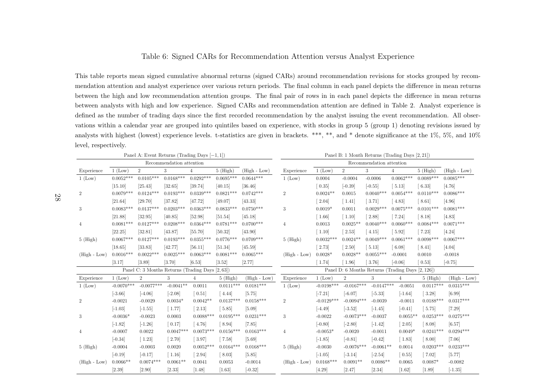### Table 6: Signed CARs for Recommendation Attention versus Analyst Experience

This table reports mean signed cumulative abnormal returns (signed CARs) around recommendation revisions for stocks grouped by recommendation attention and analyst experience over various return periods. The final column in each pane<sup>l</sup> depicts the difference in mean returns between the high and low recommendation attention groups. The final pair of rows in in each pane<sup>l</sup> depicts the difference in mean returns between analysts with high and low experience. Signed CARs and recommendation attention are defined in Table 2. Analyst experience is defined as the number of trading days since the first recorded recommendation by the analyst issuing the event recommendation. All observations within <sup>a</sup> calendar year are grouped into quintiles based on experience, with stocks in group <sup>5</sup> (group 1) denoting revisions issued byanalysts with highest (lowest) experience levels. t-statistics are given in brackets. \*\*\*, \*\*, and \* denote significance at the 1%, 5%, and 10% level, respectively.

|                |                  | Panel A: Event Returns (Trading Days $[-1, 1]$ ) |                          |                |             |                |                |                      |                               |                          | Panel B: 1 Month Returns (Trading Days [2, 21])   |             |                |
|----------------|------------------|--------------------------------------------------|--------------------------|----------------|-------------|----------------|----------------|----------------------|-------------------------------|--------------------------|---------------------------------------------------|-------------|----------------|
|                |                  |                                                  | Recommendation attention |                |             |                |                |                      |                               | Recommendation attention |                                                   |             |                |
| Experience     | $1~($ Low $)$    | $\overline{2}$                                   | 3                        | $\overline{4}$ | $5$ (High)  | $(High - Low)$ | Experience     | 1 (Low)              | 2                             | 3                        | $\overline{4}$                                    | $5$ (High)  | $(High - Low)$ |
| $1~($ Low $)$  | $0.0052^{***}\,$ | $0.0105***$                                      | $0.0168***$              | $0.0292***$    | $0.0695***$ | $0.0644***$    | 1 (Low)        | 0.0004               | $-0.0004$                     | $-0.0006$                | $0.0062***$                                       | $0.0089***$ | $0.0085***$    |
|                | [15.10]          | [25.43]                                          | [32.65]                  | [39.74]        | [40.15]     | [36.46]        |                | $\left[0.35\right]$  | $[-0.39]$                     | $[-0.55]$                | $\left[5.13\right]$                               | 6.33        | [4.76]         |
| $\overline{2}$ | $0.0079***$      | $0.0124***$                                      | $0.0193***$              | $0.0339***$    | $0.0821***$ | $0.0742***$    | $\overline{2}$ | $0.0024**$           | 0.0015                        | $0.0040***$              | $0.0054***$                                       | $0.0110***$ | $0.0086***$    |
|                | [21.64]          | [29.70]                                          | [37.82]                  | [47.72]        | [49.07]     | [43.33]        |                | 2.04                 | $[1.41]$                      | $[3.71]$                 | [4.83]                                            | 8.61        | [4.96]         |
| 3              | $0.0083***$      | $0.0137***$                                      | $0.0203***$              | $0.0363***$    | $0.0833***$ | $0.0750***$    | 3              | $0.0019*$            | 0.0011                        | $0.0029***$              | $0.0075***$                                       | $0.0101***$ | $0.0081***$    |
|                | [21.88]          | [32.95]                                          | [40.85]                  | [52.98]        | [51.54]     | [45.18]        |                | $\left[ 1.66\right]$ | $\lceil 1.10 \rceil$          | $\lceil 2.88\rceil$      | $7.24$                                            | 8.18        | [4.83]         |
| 4              | $0.0081***$      | $0.0127***$                                      | $0.0208***$              | $0.0364***$    | $0.0781***$ | $0.0700***$    | $\overline{4}$ | 0.0013               | $0.0025**$                    | $0.0040***$              | $0.0060***$                                       | $0.0084***$ | $0.0071***$    |
|                | [22.25]          | [32.81]                                          | [43.87]                  | [55.70]        | [50.32]     | [43.90]        |                | $[1.10]$             | $\left[2.53\right]$           | $\left[4.15\right]$      | 5.92                                              | 7.23        | [4.24]         |
| $5$ (High)     | $0.0067***$      | $0.0127***$                                      | $0.0193***$              | $0.0355***$    | $0.0776***$ | $0.0709***$    | $5$ (High)     | $0.0032***$          | $0.0024**$                    | $0.0049***$              | $0.0061***$                                       | $0.0098***$ | $0.0067***$    |
|                | [18.65]          | [33.83]                                          | [42.77]                  | [56.11]        | [51.34]     | [45.59]        |                | 2.73                 | 2.50                          | $\left[ 5.13\right]$     | 6.08                                              | 8.41        | [4.04]         |
| $(High - Low)$ | $0.0016***$      | $0.0022***$                                      | $0.0025***$              | $0.0063***$    | $0.0081***$ | $0.0065***$    | $(High - Low)$ | $0.0028*$            | $0.0028**$                    | $0.0055***$              | $-0.0001$                                         | 0.0010      | $-0.0018$      |
|                | [3.17]           | [3.89]                                           | [3.70]                   | [6.53]         | [3.52]      | [2.77]         |                | 1.74                 | $\left[ \right. 1.96 \right]$ | 3.76                     | $[-0.06]$                                         | 0.53        | $[-0.75]$      |
|                |                  | Panel C: 3 Months Returns (Trading Days [2, 63]) |                          |                |             |                |                |                      |                               |                          | Panel D: 6 Months Returns (Trading Days [2, 126]) |             |                |
| Experience     | 1 (Low)          | $\overline{2}$                                   | 3                        | 4              | $5$ (High)  | $(High - Low)$ | Experience     | 1 (Low)              | $\overline{2}$                | 3                        | $\overline{4}$                                    | $5$ (High)  | $(High - Low)$ |
| $1$ (Low)      | $-0.0070***$     | $-0.0077***$                                     | $-0.0041**$              | 0.0011         | $0.0111***$ | $0.0181***$    | 1 (Low)        | $-0.0198***$         | $-0.0167***$                  | $-0.0147***$             | $-0.0051$                                         | $0.0117***$ | $0.0315***$    |
|                | $[-3.66]$        | $[-4.06]$                                        | $[-2.08]$                | [0.51]         | $[4.44]$    | [5.75]         |                | $[-7.21]$            | $[-6.07]$                     | $[-5.33]$                | $[-1.64]$                                         | $[3.28]$    | [6.99]         |
| $\overline{2}$ | $-0.0021$        | $-0.0029$                                        | $0.0034*$                | $0.0042**$     | $0.0137***$ | $0.0158***$    | $\overline{2}$ | $-0.0129***$         | $-0.0094***$                  | $-0.0039$                | $-0.0011$                                         | $0.0188***$ | $0.0317***$    |
|                | $[-1.03]$        | $[-1.55]$                                        | $[1.77]$                 | $[2.13]$       | [5.85]      | [5.09]         |                | $[-4.49]$            | $[-3.52]$                     | $[-1.45]$                | $[-0.41]$                                         | $[5.75]$    | $[7.29]$       |
| 3              | $-0.0036*$       | $-0.0023$                                        | 0.0003                   | $0.0088***$    | $0.0195***$ | $0.0231***$    | 3              | $-0.0022$            | $-0.0073***$                  | $-0.0037$                | $0.0055**$                                        | $0.0253***$ | $0.0275***$    |
|                | $[-1.82]$        | $[-1.26]$                                        | [0.17]                   | [4.76]         | [8.94]      | [7.85]         |                | $[-0.80]$            | $[-2.80]$                     | $[-1.42]$                | $\lceil 2.05 \rceil$                              | [8.08]      | [6.57]         |
| $\overline{4}$ | $-0.0007$        | 0.0022                                           | $0.0047***$              | $0.0073***$    | $0.0156***$ | $0.0163***$    | $\overline{4}$ | $-0.0053*$           | $-0.0020$                     | $-0.0011$                | $0.0049*$                                         | $0.0241***$ | $0.0294***$    |
|                | $[-0.34]$        | $\begin{bmatrix} 1.23 \end{bmatrix}$             | 2.70                     | [3.97]         | $[7.58]$    | [5.69]         |                | $[-1.85]$            | $[-0.81]$                     | $[-0.42]$                | $\lceil 1.83 \rceil$                              | $[ 8.00]$   | [7.06]         |
| $5$ (High)     | $-0.0004$        | $-0.0003$                                        | 0.0020                   | $0.0052***$    | $0.0164***$ | $0.0168***$    | $5$ (High)     | $-0.0030$            | $-0.0076***$                  | $-0.0061**$              | 0.0014                                            | $0.0203***$ | $0.0233***$    |
|                | $[-0.19]$        | $[-0.17]$                                        | $\lceil 1.16 \rceil$     | $[2.94]$       | [8.03]      | [5.85]         |                | $[-1.05]$            | $[-3.14]$                     | $[-2.54]$                | $\left[0.55\right]$                               | $[7.02]$    | [5.77]         |
| $(High - Low)$ | $0.0066**$       | $0.0074***$                                      | $0.0061**$               | 0.0041         | 0.0053      | $-0.0014$      | $(High - Low)$ | $0.0168***$          | $0.0091**$                    | $0.0086**$               | 0.0065                                            | $0.0087*$   | $-0.0082$      |
|                | [2.39]           | [2.90]                                           | [2.33]                   | [1.48]         | $[1.63]$    | $[-0.32]$      |                | [4.29]               | [2.47]                        | [2.34]                   | $[1.62]$                                          | $[1.89]$    | $[-1.35]$      |

28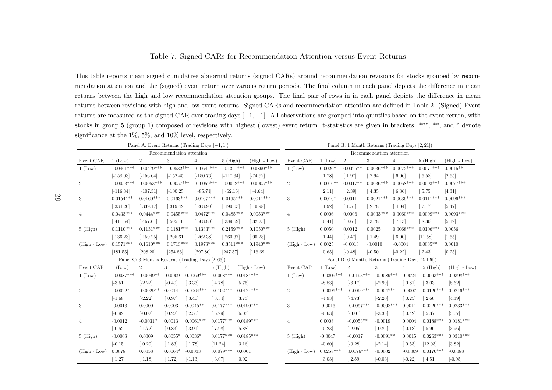### Table 7: Signed CARs for Recommendation Attention versus Event Returns

This table reports mean signed cumulative abnormal returns (signed CARs) around recommendation revisions for stocks grouped by recommendation attention and the (signed) event return over various return periods. The final column in each pane<sup>l</sup> depicts the difference in mean returns between the high and low recommendation attention groups. The final pair of rows in in each pane<sup>l</sup> depicts the difference in meanreturns between revisions with high and low event returns. Signed CARs and recommendation attention are defined in Table 2. (Signed) Event returns are measured as the signed CAR over trading days  $[-1, +1]$ . All observations are grouped into quintiles based on the event return, with stocks in group 5 (group 1) composed of revisions with highest (lowest) event return. t-statistics are given in brackets. \*\*\*, \*\*, and \* denote significance at the 1%, 5%, and 10% level, respectively.

|                  | Panel A: Event Returns (Trading Days $[-1, 1]$ ) |                                                  |                          |                                      |             |              |                | Panel B: 1 Month Returns (Trading Days [2, 21]) |                      |                      |                          |                                                   |                       |                |
|------------------|--------------------------------------------------|--------------------------------------------------|--------------------------|--------------------------------------|-------------|--------------|----------------|-------------------------------------------------|----------------------|----------------------|--------------------------|---------------------------------------------------|-----------------------|----------------|
|                  |                                                  |                                                  | Recommendation attention |                                      |             |              |                |                                                 |                      |                      | Recommendation attention |                                                   |                       |                |
| Event CAR        | $1$ (Low)                                        | $\overline{2}$                                   | 3                        | $\overline{4}$                       |             | $5$ (High)   | $(High - Low)$ | Event CAR                                       | $1$ (Low)            | $\overline{2}$       | 3                        | $\overline{4}$                                    | $5$ (High)            | $(High - Low)$ |
| 1 (Low)          | $-0.0461***$                                     | $-0.0479***$                                     | $-0.0532***$             | $-0.0645***$                         |             | $-0.1351***$ | $-0.0890***$   | 1 (Low)                                         | $0.0026*$            | $0.0025**$           | $0.0036***$              | $0.0072***$                                       | $0.0071***$           | $0.0046**$     |
|                  | $[-158.03]$                                      | $[-156.64]$                                      | $[-152.45]$              | $[-150.76]$                          |             | $[-117.34]$  | $[-74.92]$     |                                                 | $[1.78]$             | $[1.97]$             | $[2.94]$                 | 6.06                                              | $\left[6.58\right]$   | [2.55]         |
| $\overline{2}$   | $-0.0053***$                                     | $-0.0053***$                                     | $-0.0057***$             | $-0.0059***$                         |             | $-0.0058***$ | $-0.0005***$   | $\overline{2}$                                  | $0.0016**$           | $0.0017**$           | $0.0036***$              | $0.0068***$                                       | $0.0093***$           | $0.0077***$    |
|                  | $[-116.84]$                                      | $[-107.31]$                                      | $[-100.25]$              | $-85.74$                             |             | $-62.16$     | $-4.64$        |                                                 | $[2.11]$             | $[2.39]$             | [4.35]                   | [6.36]                                            | $[5.75]$              | $[4.31]$       |
| 3                | $0.0154***$                                      | $0.0160***$                                      | $0.0163***$              | $0.0167***$                          |             | $0.0165***$  | $0.0011***$    | 3                                               | $0.0016*$            | 0.0011               | $0.0021***$              | $0.0039***$                                       | $0.0111***$           | $0.0096***$    |
|                  | [334.20]                                         | [339.17]                                         | $[319.42]$               | 268.90                               |             | 190.03       | 10.98          |                                                 | $\left[ 1.92\right]$ | $\lceil 1.51 \rceil$ | $[2.78]$                 | $\left[4.04\right]$                               | $[7.17]$              | [5.47]         |
| 4                | $0.0433***$                                      | $0.0444***$                                      | $0.0455***$              | $0.0472***$                          |             | $0.0485***$  | $0.0053***$    | $\overline{4}$                                  | 0.0006               | 0.0006               | $0.0033***$              | $0.0060***$                                       | $0.0099***$           | $0.0093***$    |
|                  | [411.54]                                         | 467.61                                           | [505.16]                 | 508.80                               |             | 389.69       | 32.25          |                                                 | $\left[0.41\right]$  | $\lceil 0.61 \rceil$ | $[3.78]$                 | $[7.13]$                                          | $\left[ 8.30 \right]$ | [5.12]         |
| $5$ (High)       | $0.1110***$                                      | $0.1131***$                                      | $0.1181***$              | $0.1333***$                          |             | $0.2159***$  | $0.1050***$    | $5$ (High)                                      | 0.0050               | 0.0012               | 0.0025                   | $0.0068***$                                       | $0.0106***$           | 0.0056         |
|                  | [136.23]                                         | [159.25]                                         | 205.61                   | 262.38                               |             | 260.37       | 90.28          |                                                 | $\lceil 1.44 \rceil$ | $\left[0.47\right]$  | $[1.49]$                 | $\left[ 6.00 \right]$                             | [11.58]               | [1.55]         |
| $(High - Low)$   | $0.1571***$                                      | $0.1610***$                                      | $0.1713***$              | $0.1978***$                          |             | $0.3511***$  | $0.1940***$    | $(High - Low)$                                  | 0.0025               | $-0.0013$            | $-0.0010$                | $-0.0004$                                         | $0.0035**$            | 0.0010         |
|                  | [181.55]                                         | [208.20]                                         | [254.86]                 | [297.80]                             | [247.37]    |              | [116.69]       |                                                 | 0.65                 | $[-0.48]$            | $[-0.50]$                | $[-0.22]$                                         | 2.43                  | [0.25]         |
|                  |                                                  | Panel C: 3 Months Returns (Trading Days [2, 63]) |                          |                                      |             |              |                |                                                 |                      |                      |                          | Panel D: 6 Months Returns (Trading Days [2, 126]) |                       |                |
| Event CAR        | 1 (Low)                                          | $\overline{2}$                                   | 3                        | $\overline{4}$                       | $5$ (High)  |              | $(High - Low)$ | Event CAR                                       | 1 (Low)              | $\overline{2}$       | 3                        | $\overline{4}$                                    | $5$ (High)            | $(High - Low)$ |
| 1 (Low)          | $-0.0087***$                                     | $-0.0049**$                                      | $-0.0009$                | $0.0069***$                          | $0.0098***$ |              | $0.0184***$    | 1 (Low)                                         | $-0.0305***$         | $-0.0193***$         | $-0.0089***$             | 0.0024                                            | $0.0093***$           | $0.0398***$    |
|                  | $[-3.51]$                                        | $[-2.22]$                                        | $[-0.40]$                | $[3.33]$                             | 4.78        | [5.75]       |                |                                                 | $[-8.83]$            | $[-6.17]$            | $[-2.99]$                | [0.81]                                            | $\left[3.03\right]$   | [8.62]         |
| $\boldsymbol{2}$ | $-0.0022*$                                       | $-0.0029**$                                      | 0.0014                   | $0.0064***$                          | $0.0102***$ |              | $0.0124***$    | $\overline{2}$                                  | $-0.0095***$         | $-0.0090***$         | $-0.0047**$              | 0.0007                                            | $0.0120***$           | $0.0216***$    |
|                  | $[-1.68]$                                        | $[-2.22]$                                        | 0.97                     | $\left[ 3.40 \right]$                | 3.34        | [3.73]       |                |                                                 | $[-4.93]$            | $[-4.73]$            | $[-2.20]$                | $\lceil 0.25 \rceil$                              | 2.66                  | [4.39]         |
| 3                | $-0.0013$                                        | 0.0000                                           | 0.0003                   | $0.0045**$                           | $0.0177***$ |              | $0.0190***$    | 3                                               | $-0.0013$            | $-0.0057***$         | $-0.0068***$             | 0.0011                                            | $0.0220***$           | $0.0233***$    |
|                  | $[-0.92]$                                        | $[-0.02]$                                        | 0.22                     | $\lceil 2.55 \rceil$                 | 6.29        | [6.03]       |                |                                                 | $[-0.63]$            | $[-3.01]$            | $[-3.35]$                | $\left[0.42\right]$                               | [5.37]                | [5.07]         |
| 4                | $-0.0012$                                        | $-0.0031*$                                       | 0.0013                   | $0.0061***$                          | $0.0177***$ |              | $0.0189***$    | $\overline{4}$                                  | 0.0008               | $-0.0053**$          | $-0.0019$                | 0.0004                                            | $0.0188***$           | $0.0181***$    |
|                  | $[-0.52]$                                        | $[-1.72]$                                        | [0.83]                   | $\left[3.91\right]$                  | 7.98        | [5.88]       |                |                                                 | $\left[0.23\right]$  | $[-2.05]$            | $[-0.85]$                | [0.18]                                            | [5.96]                | [3.96]         |
| $5$ (High)       | $-0.0008$                                        | 0.0009                                           | $0.0055*$                | $0.0036*$                            | $0.0177***$ |              | $0.0185***$    | $5$ (High)                                      | $-0.0047$            | $-0.0017$            | $-0.0091**$              | 0.0015                                            | $0.0263***$           | $0.0310***$    |
|                  | $[-0.15]$                                        | $\left[0.20\right]$                              | $\lceil 1.83 \rceil$     | $\begin{bmatrix} 1.78 \end{bmatrix}$ | [11.24]     | [3.16]       |                |                                                 | $[-0.60]$            | $[-0.28]$            | $[-2.14]$                | $\left[0.53\right]$                               | [12.03]               | [3.82]         |
| $(High - Low)$   | 0.0078                                           | 0.0058                                           | $0.0064*$                | $-0.0033$                            | $0.0079***$ | 0.0001       |                | $(High - Low)$                                  | $0.0258***$          | $0.0176***$          | $-0.0002$                | $-0.0009$                                         | $0.0170***$           | $-0.0088$      |
|                  | $\left[ 1.27\right]$                             | $\lceil 1.18 \rceil$                             | 1.72                     | $[-1.13]$                            | 3.07        | [0.02]       |                |                                                 | 3.03                 | 2.59                 | $[-0.03]$                | $[-0.22]$                                         | 4.51                  | $[-0.95]$      |

29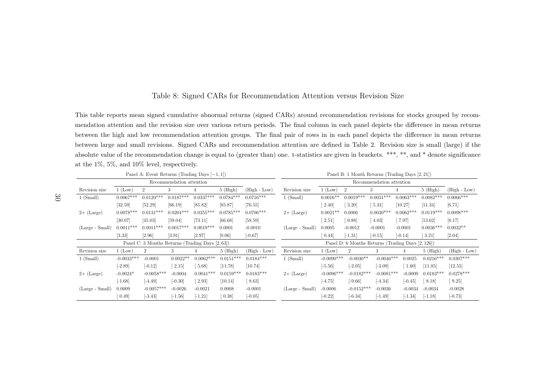### Table 8: Signed CARs for Recommendation Attention versus Revision Size

This table reports mean signed cumulative abnormal returns (signed CARs) around recommendation revisions for stocks grouped by recommendation attention and the revision size over various return periods. The final column in each pane<sup>l</sup> depicts the difference in mean returns between the high and low recommendation attention groups. The final pair of rows in in each pane<sup>l</sup> depicts the difference in mean returns between large and small revisions. Signed CARs and recommendation attention are defined in Table 2. Revision size is small (large) if the absolute value of the recommendation change is equa<sup>l</sup> to (greater than) one. t-statistics are <sup>g</sup>iven in brackets. \*\*\*, \*\*, and \* denote significance at the 1%, 5%, and 10% level, respectively.

|                   |              | Panel A: Event Returns (Trading Days $[-1, 1]$ ) |                          |             |             |                |                   |               | Panel B: 1 Month Returns (Trading Days [2, 21])   |                          |             |             |                |
|-------------------|--------------|--------------------------------------------------|--------------------------|-------------|-------------|----------------|-------------------|---------------|---------------------------------------------------|--------------------------|-------------|-------------|----------------|
|                   |              |                                                  | Recommendation attention |             |             |                |                   |               |                                                   | Recommendation attention |             |             |                |
| Revision size     | 1 (Low)      | $\overline{2}$                                   | 3                        | 4           | $5$ (High)  | $(High - Low)$ | Revision size     | 1 (Low)       | $\overline{2}$                                    | 3                        |             | $5$ (High)  | $(High - Low)$ |
| $1$ (Small)       | $0.0067***$  | $0.0120***$                                      | $0.0187***$              | $0.0337***$ | $0.0784***$ | $0.0716***$    | $1$ (Small)       | $0.0016**$    | $0.0019***$                                       | $0.0031***$              | $0.0063***$ | $0.0082***$ | $0.0066***$    |
|                   | $[32.59]$    | [52.29]                                          | [66.19]                  | [85.82]     | [85.87]     | [76.55]        |                   | 2.40          | 3.20                                              | 5.31                     | [10.27]     | [11.34]     | [6.71]         |
| $2+$ (Large)      | $0.0078***$  | $0.0131***$                                      | $0.0204***$              | $0.0355***$ | $0.0785***$ | $0.0706***$    | $2+$ (Large)      | $0.0021**$    | 0.0006                                            | $0.0030***$              | $0.0062***$ | $0.0119***$ | $0.0098***$    |
|                   | [30.07]      | [45.03]                                          | [59.04]                  | [73.11]     | [66.68]     | [58.59]        |                   | 2.51          | [0.88]                                            | 4.03                     | 7.97        | $[13.62]$   | [8.17]         |
| (Large - Small)   | $0.0011***$  | $0.0011***$                                      | $0.0017***$              | $0.0019***$ | 0.0001      | $-0.0010$      | (Large - Small)   | 0.0005        | $-0.0012$                                         | $-0.0001$                | $-0.0001$   | $0.0036***$ | $0.0032**$     |
|                   | [3.33]       | [2.96]                                           | [3.91]                   | [2.97]      | [0.06]      | $[-0.67]$      |                   | 0.44          | $[-1.31]$                                         | $[-0.15]$                | $[-0.14]$   | 3.21        | $[2.04]$       |
|                   |              | Panel C: 3 Months Returns (Trading Days [2, 63]) |                          |             |             |                |                   |               | Panel D: 6 Months Returns (Trading Days [2, 126]) |                          |             |             |                |
| Revision size     | $1$ (Low)    | $\overline{2}$                                   | 3                        |             | $5$ (High)  | $(High - Low)$ | Revision size     | $1~($ Low $)$ | $\overline{2}$                                    | 3                        | 4           | $5$ (High)  | $(High - Low)$ |
| $1$ (Small)       | $-0.0033***$ | $-0.0001$                                        | $0.0022**$               | $0.0062***$ | $0.0151***$ | $0.0184***$    | $1$ (Small)       | $-0.0090***$  | $-0.0030**$                                       | $-0.0046***$             | 0.0025      | $0.0216***$ | $0.0307***$    |
|                   | $[-2.89]$    | $[-0.12]$                                        | $\left[ 2.15\right]$     | 5.68        | [11.78]     | $[10.74]$      |                   | $[-5.56]$     | $[-2.05]$                                         | $[-3.09]$                | 1.60        | [11.85]     | [12.55]        |
| $2+$ (Large)      | $-0.0024*$   | $-0.0058***$                                     | $-0.0004$                | $0.0041***$ | $0.0159***$ | $0.0183***$    | $2+$ (Large)      | $-0.0096***$  | $-0.0182***$                                      | $-0.0081***$             | $-0.0009$   | $0.0183***$ | $0.0278***$    |
|                   | $[-1.68]$    | $[-4.49]$                                        | $[-0.30]$                | 2.93        | [10.14]     | 8.63           |                   | $[-4.75]$     | $[-9.66]$                                         | $[-4.34]$                | $[-0.45]$   | 8.18        | 9.25           |
| $(Large - Small)$ | 0.0009       | $-0.0057***$                                     | $-0.0026$                | $-0.0021$   | 0.0008      | $-0.0001$      | $(Large - Small)$ | $-0.0006$     | $-0.0152***$                                      | $-0.0036$                | $-0.0034$   | $-0.0034$   | $-0.0028$      |
|                   | 0.49         | $[-3.43]$                                        | $[-1.56]$                | $[-1.21]$   | 0.38        | $[-0.05]$      |                   | $[-0.22]$     | $[-6.34]$                                         | $[-1.49]$                | $[-1.34]$   | $[-1.18]$   | $[-0.73]$      |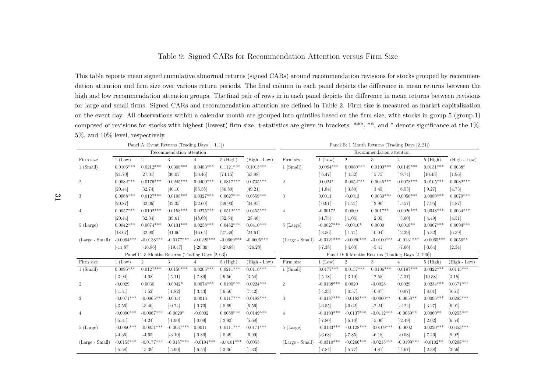### Table 9: Signed CARs for Recommendation Attention versus Firm Size

This table reports mean signed cumulative abnormal returns (signed CARs) around recommendation revisions for stocks grouped by recommendation attention and firm size over various return periods. The final column in each pane<sup>l</sup> depicts the difference in mean returns between the high and low recommendation attention groups. The final pair of rows in in each pane<sup>l</sup> depicts the difference in mean returns between revisions for large and small firms. Signed CARs and recommendation attention are defined in Table 2. Firm size is measured as market capitalization on the event day. All observations within <sup>a</sup> calendar month are grouped into quintiles based on the firm size, with stocks in group <sup>5</sup> (group 1) composed of revisions for stocks with highest (lowest) firm size. t-statistics are <sup>g</sup>iven in brackets. \*\*\*, \*\*, and \* denote significance at the 1%, 5%, and 10% level, respectively.

|                   |               |                      | Panel A: Event Returns (Trading Days $[-1,1]$ )  |                     |                                                    |                |                   |                     | Panel B: 1 Month Returns (Trading Days [2, 21])   |                          |                       |                      |                |
|-------------------|---------------|----------------------|--------------------------------------------------|---------------------|----------------------------------------------------|----------------|-------------------|---------------------|---------------------------------------------------|--------------------------|-----------------------|----------------------|----------------|
|                   |               |                      | Recommendation attention                         |                     |                                                    |                |                   |                     |                                                   | Recommendation attention |                       |                      |                |
| Firm size         | $1$ (Low)     | $\overline{2}$       | 3                                                | 4                   | $5$ (High)                                         | $(High - Low)$ | Firm size         | $1$ (Low)           | $\overline{2}$                                    | 3                        |                       | $5$ (High)           | $(High - Low)$ |
| $1$ (Small)       | $0.0106***$   | $0.0212***$          | $0.0308***$                                      | $0.0483***$         | $0.1121***$                                        | $0.1015***$    | $1$ (Small)       | $0.0094***$         | $0.0080***$                                       | $0.0100***$              | $0.0149***$           | $0.0131***$          | $0.0038*$      |
|                   | [21.70]       | [27.01]              | [36.07]                                          | [50.46]             | [74.15]                                            | [63.88]        |                   | 6.47                | [4.32]                                            | [5.75]                   | [9.74]                | [10.43]              | [1.96]         |
| $\overline{2}$    | $0.0082***$   | $0.0176***$          | $0.0245***$                                      | $0.0400***$         | $0.0817***$                                        | $0.0735***$    | $\overline{2}$    | $0.0024*$           | $0.0052***$                                       | $0.0045***$              | $0.0078***$           | $0.0105***$          | $0.0082***$    |
|                   | [20.44]       | [32.74]              | [40.10]                                          | [55.58]             | [56.80]                                            | [49.21]        |                   | [1.84]              | $\left[3.80\right]$                               | $\lceil 3.45 \rceil$     | 6.53                  | [9.27]               | [4.73]         |
| 3                 | $0.0068***$   | $0.0127***$          | $0.0198***$                                      | $0.0327***$         | $0.0627***$                                        | $0.0559***$    | 3                 | 0.0011              | $-0.0013$                                         | $0.0030***$              | $0.0056***$           | $0.0089***$          | $0.0079***$    |
|                   | [20.87]       | [32.06]              | [42.35]                                          | [52.60]             | [39.93]                                            | [34.85]        |                   | $\left[0.91\right]$ | $[-1.21]$                                         | $\lceil 2.90 \rceil$     | [5.57]                | $\left[ 7.95\right]$ | [4.87]         |
| 4                 | $0.0057***$   | $0.0102***$          | $0.0158***$                                      | $0.0275***$         | $0.0512***$                                        | $0.0455***$    | $\overline{4}$    | $-0.0017*$          | 0.0009                                            | $0.0017**$               | $0.0026***$           | $0.0048***$          | $0.0064***$    |
|                   | [20.44]       | [32.34]              | [39.61]                                          | [48.69]             | [32.54]                                            | [28.46]        |                   | $[-1.75]$           | $\left[ 1.05\right]$                              | $\left[2.05\right]$      | $\left[ 3.00 \right]$ | [4.49]               | [4.51]         |
| $5$ (Large)       | $0.0042***$   | $0.0074***$          | $0.0131***$                                      | $0.0258***$         | $0.0452***$                                        | $0.0410***$    | $5$ (Large)       | $-0.0027***$        | $-0.0010*$                                        | 0.0000                   | $0.0018**$            | $0.0067***$          | $0.0094***$    |
|                   | [18.67]       | [32.90]              | [41.96]                                          | [46.64]             | [27.39]                                            | [24.61]        |                   | $[-3.56]$           | $[-1.71]$                                         | $[-0.04]$                | 2.39                  | $\left[ 5.32\right]$ | [6.39]         |
| $(Large - Small)$ | $-0.0064***$  | $-0.0138***$         | $-0.0177***$                                     | $-0.0225***$        | $-0.0669***$                                       | $-0.0605***$   | $(Large - Small)$ | $-0.0121***$        | $-0.0090$ ***                                     | $-0.0100***$             | $-0.0131***$          | $-0.0065***$         | $0.0056**$     |
|                   | $[-11.87]$    | $[-16.86]$           | $[-19.47]$                                       | $[-20.39]$          | $[-29.88]$                                         | $[-26.28]$     |                   | $[-7.38]$           | $[-4.63]$                                         | $[-5.41]$                | $[-7.66]$             | $[-3.64]$            | $[2.34]$       |
|                   |               |                      | Panel C: 3 Months Returns (Trading Days [2, 63]) |                     |                                                    |                |                   |                     | Panel D: 6 Months Returns (Trading Days [2, 126]) |                          |                       |                      |                |
| Firm size         | $1$ (Low)     | $\overline{2}$       | 3                                                | 4                   | $5$ (High)                                         | $(High - Low)$ | Firm size         | 1 (Low)             | $\overline{2}$                                    | 3                        | 4                     | $5$ (High)           | $(High - Low)$ |
| $1$ (Small)       | $0.0095***$   | $0.0127***$          | $0.0150***$                                      | $0.0205***$         | $0.0211***$                                        | $0.0116***$    | $1$ (Small)       | $0.0177***$         | $0.0137***$                                       | $0.0106***$              | $0.0197***$           | $0.0322***$          | $0.0145***$    |
|                   | $[3.94]$      | $\lceil 4.08 \rceil$ | [5.11]                                           | $[7.89]$            | $\left[ \begin{array}{c} 9.56 \end{array} \right]$ | $[3.54]$       |                   | 5.18                | $\left[ 3.19\right]$                              | $\lceil 2.58 \rceil$     | [5.37]                | [10.38]              | [3.15]         |
| $\overline{2}$    | $-0.0029$     | 0.0036               | $0.0042*$                                        | $0.0074***$         | $0.0195***$                                        | $0.0224***$    | $\sqrt{2}$        | $-0.0138***$        | 0.0020                                            | $-0.0028$                | 0.0029                | $0.0234***$          | $0.0371***$    |
|                   | $[-1.31]$     | $\left[ 1.52\right]$ | $\left[ 1.82\right]$                             | $[3.43]$            | $\left[ \begin{array}{c} 9.56 \end{array} \right]$ | $[7.42]$       |                   | $[-4.33]$           | [0.57]                                            | $[-0.87]$                | [0.97]                | [8.01]               | [8.61]         |
| 3                 | $-0.0071***$  | $-0.0065***$         | 0.0014                                           | 0.0013              | $0.0117***$                                        | $0.0188***$    | 3                 | $-0.0187***$        | $-0.0183***$                                      | $-0.0060**$              | $-0.0058**$           | $0.0096***$          | $0.0283***$    |
|                   | $[-3.56]$     | $[-3.40]$            | $\left[0.74\right]$                              | $\left[0.70\right]$ | [5.69]                                             | [6.56]         |                   | $[-6.55]$           | $[-6.62]$                                         | $[-2.24]$                | $[-2.22]$             | 3.27                 | [6.91]         |
| 4                 | $-0.0090$ *** | $-0.0067***$         | $-0.0029*$                                       | $-0.0002$           | $0.0059***$                                        | $0.0149***$    | $\overline{4}$    | $-0.0193***$        | $-0.0137***$                                      | $-0.0112***$             | $-0.0059**$           | $0.0060**$           | $0.0253***$    |
|                   | $[-5.31]$     | $[-4.24]$            | $[-1.90]$                                        | $[-0.09]$           | $\left[2.93\right]$                                | [5.68]         |                   | $[-7.80]$           | $[-6.10]$                                         | $[-5.00]$                | $[-2.49]$             | 2.02                 | $[6.54]$       |
| $5$ (Large)       | $-0.0060***$  | $-0.0051***$         | $-0.0037***$                                     | 0.0011              | $0.0111***$                                        | $0.0171***$    | $5$ (Large)       | $-0.0133***$        | $-0.0128***$                                      | $-0.0109***$             | $-0.0002$             | $0.0220***$          | $0.0353***$    |
|                   | $[-4.36]$     | $[-4.65]$            | $[-3.10]$                                        | $\left[0.80\right]$ | $\left[ 5.49\right]$                               | [6.99]         |                   | $[-6.68]$           | $[-7.85]$                                         | $[-6.18]$                | $[-0.08]$             | $[7.46]$             | [9.92]         |
| $(Large - Small)$ | $-0.0155***$  | $-0.0177***$         | $-0.0187***$                                     | $-0.0194***$        | $-0.0101***$                                       | 0.0055         | $(Large - Small)$ | $-0.0310***$        | $-0.0266***$                                      | $-0.0215***$             | $-0.0199***$          | $-0.0102**$          | $0.0208***$    |
|                   | $[-5.58]$     | $[-5.39]$            | $[-5.90]$                                        | $[-6.54]$           | $[-3.36]$                                          | [1.33]         |                   | $[-7.84]$           | $[-5.77]$                                         | $[-4.81]$                | $[-4.67]$             | $[-2.38]$            | [3.56]         |